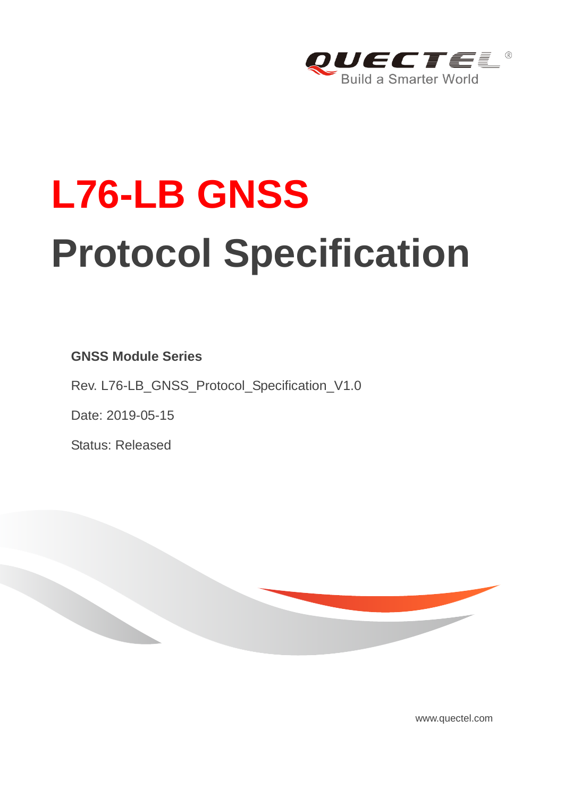

# **L76-LB GNSS Protocol Specification**

**GNSS Module Series**

Rev. L76-LB\_GNSS\_Protocol\_Specification\_V1.0

Date: 2019-05-15

Status: Released



www.quectel.com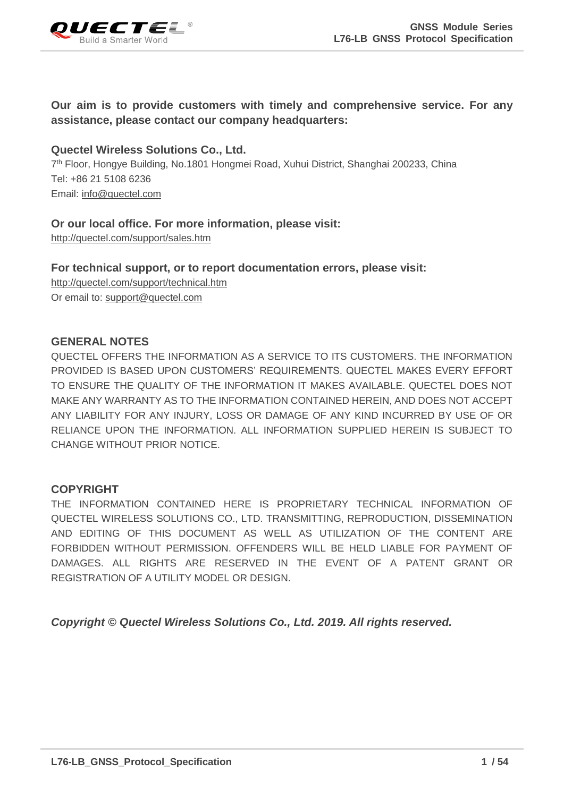

#### **Our aim is to provide customers with timely and comprehensive service. For any assistance, please contact our company headquarters:**

#### **Quectel Wireless Solutions Co., Ltd.**

7<sup>th</sup> Floor, Hongye Building, No.1801 Hongmei Road, Xuhui District, Shanghai 200233, China Tel: +86 21 5108 6236 Email: [info@quectel.com](mailto:info@quectel.com)

#### **Or our local office. For more information, please visit:**

<http://quectel.com/support/sales.htm>

**For technical support, or to report documentation errors, please visit:**  <http://quectel.com/support/technical.htm> Or email to: [support@quectel.com](mailto:support@quectel.com)

#### **GENERAL NOTES**

QUECTEL OFFERS THE INFORMATION AS A SERVICE TO ITS CUSTOMERS. THE INFORMATION PROVIDED IS BASED UPON CUSTOMERS' REQUIREMENTS. QUECTEL MAKES EVERY EFFORT TO ENSURE THE QUALITY OF THE INFORMATION IT MAKES AVAILABLE. QUECTEL DOES NOT MAKE ANY WARRANTY AS TO THE INFORMATION CONTAINED HEREIN, AND DOES NOT ACCEPT ANY LIABILITY FOR ANY INJURY, LOSS OR DAMAGE OF ANY KIND INCURRED BY USE OF OR RELIANCE UPON THE INFORMATION. ALL INFORMATION SUPPLIED HEREIN IS SUBJECT TO CHANGE WITHOUT PRIOR NOTICE.

#### **COPYRIGHT**

THE INFORMATION CONTAINED HERE IS PROPRIETARY TECHNICAL INFORMATION OF QUECTEL WIRELESS SOLUTIONS CO., LTD. TRANSMITTING, REPRODUCTION, DISSEMINATION AND EDITING OF THIS DOCUMENT AS WELL AS UTILIZATION OF THE CONTENT ARE FORBIDDEN WITHOUT PERMISSION. OFFENDERS WILL BE HELD LIABLE FOR PAYMENT OF DAMAGES. ALL RIGHTS ARE RESERVED IN THE EVENT OF A PATENT GRANT OR REGISTRATION OF A UTILITY MODEL OR DESIGN.

*Copyright © Quectel Wireless Solutions Co., Ltd. 2019. All rights reserved.*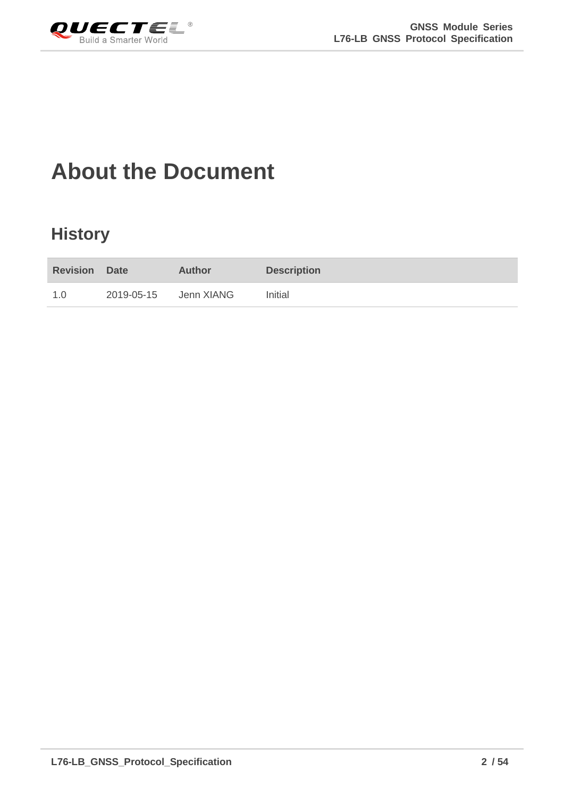<span id="page-2-0"></span>

## **About the Document**

## **History**

| <b>Revision Date</b> |            | <b>Author</b> | <b>Description</b> |
|----------------------|------------|---------------|--------------------|
| 1.0                  | 2019-05-15 | Jenn XIANG    | Initial            |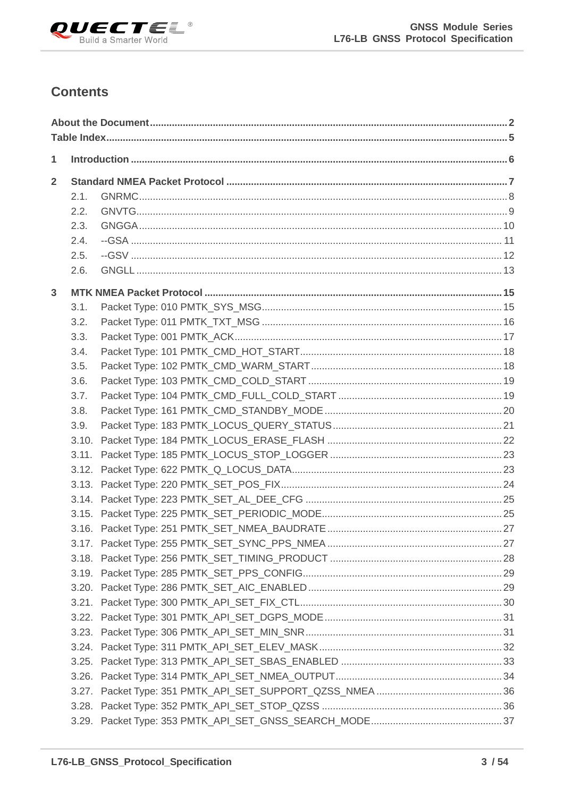

#### **Contents**

| 1              |      |  |
|----------------|------|--|
| $\overline{2}$ |      |  |
|                | 2.1. |  |
|                | 2.2. |  |
|                | 2.3. |  |
|                | 2.4. |  |
|                | 2.5. |  |
|                | 2.6. |  |
| $\overline{3}$ |      |  |
|                | 3.1. |  |
|                | 3.2. |  |
|                | 3.3. |  |
|                | 3.4. |  |
|                | 3.5. |  |
|                | 3.6. |  |
|                | 3.7. |  |
|                | 3.8. |  |
|                | 3.9. |  |
|                |      |  |
|                |      |  |
|                |      |  |
|                |      |  |
|                |      |  |
|                |      |  |
|                |      |  |
|                |      |  |
|                |      |  |
|                |      |  |
|                |      |  |
|                |      |  |
|                |      |  |
|                |      |  |
|                |      |  |
|                |      |  |
|                |      |  |
|                |      |  |
|                |      |  |
|                |      |  |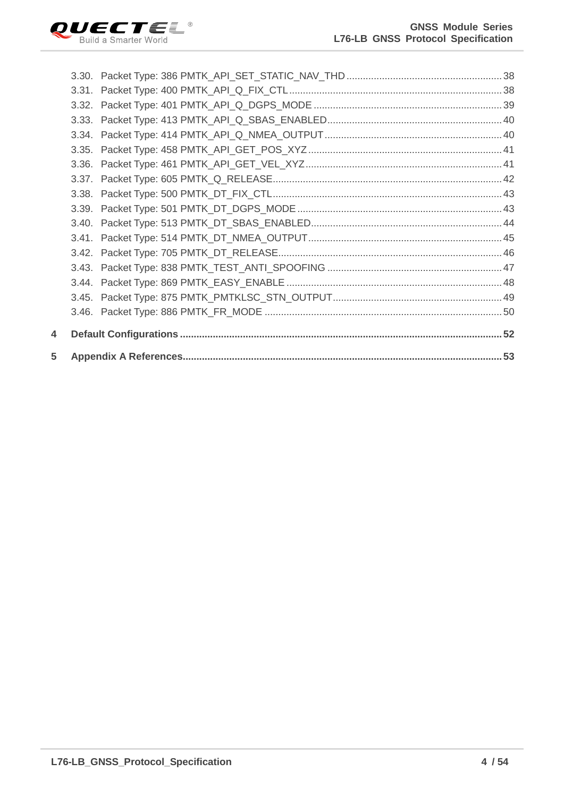

| 5 |  |  |
|---|--|--|
| 4 |  |  |
|   |  |  |
|   |  |  |
|   |  |  |
|   |  |  |
|   |  |  |
|   |  |  |
|   |  |  |
|   |  |  |
|   |  |  |
|   |  |  |
|   |  |  |
|   |  |  |
|   |  |  |
|   |  |  |
|   |  |  |
|   |  |  |
|   |  |  |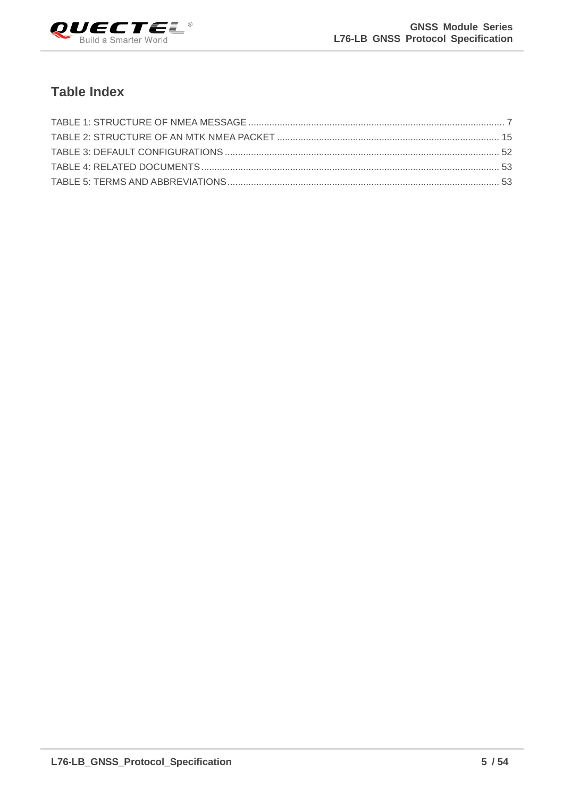

#### <span id="page-5-0"></span>**Table Index**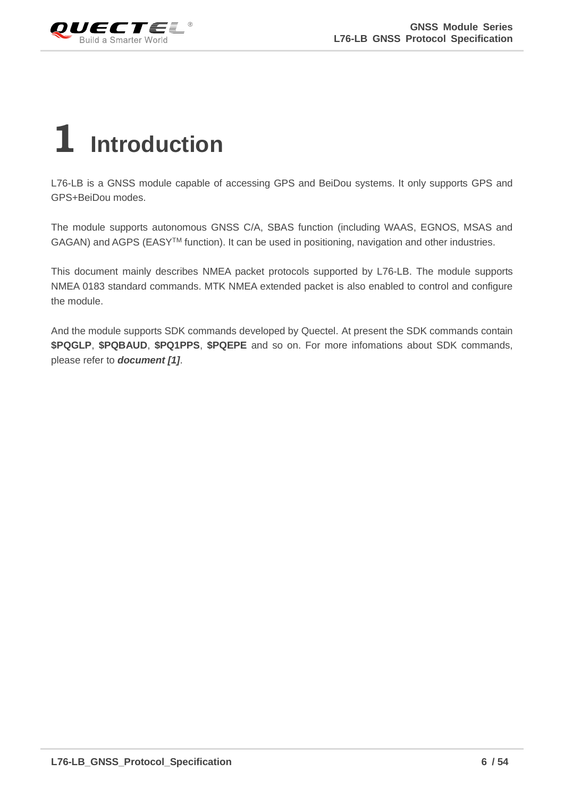<span id="page-6-0"></span>

## **1 Introduction**

L76-LB is a GNSS module capable of accessing GPS and BeiDou systems. It only supports GPS and GPS+BeiDou modes.

The module supports autonomous GNSS C/A, SBAS function (including WAAS, EGNOS, MSAS and GAGAN) and AGPS (EASY<sup>™</sup> function). It can be used in positioning, navigation and other industries.

This document mainly describes NMEA packet protocols supported by L76-LB. The module supports NMEA 0183 standard commands. MTK NMEA extended packet is also enabled to control and configure the module.

And the module supports SDK commands developed by Quectel. At present the SDK commands contain **\$PQGLP**, **\$PQBAUD**, **\$PQ1PPS**, **\$PQEPE** and so on. For more infomations about SDK commands, please refer to *document [1]*.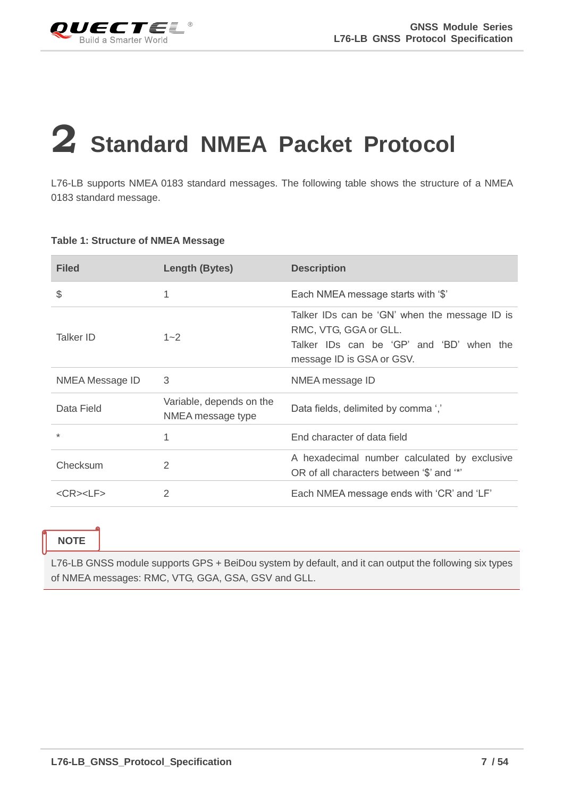<span id="page-7-0"></span>

## **2 Standard NMEA Packet Protocol**

L76-LB supports NMEA 0183 standard messages. The following table shows the structure of a NMEA 0183 standard message.

#### <span id="page-7-1"></span>**Table 1: Structure of NMEA Message**

| <b>Filed</b>          | Length (Bytes)                                | <b>Description</b>                                                                                                                              |
|-----------------------|-----------------------------------------------|-------------------------------------------------------------------------------------------------------------------------------------------------|
| \$                    | 1                                             | Each NMEA message starts with '\$'                                                                                                              |
| Talker ID             | $1 - 2$                                       | Talker IDs can be 'GN' when the message ID is<br>RMC, VTG, GGA or GLL.<br>Talker IDs can be 'GP' and 'BD' when the<br>message ID is GSA or GSV. |
| NMEA Message ID       | 3                                             | NMEA message ID                                                                                                                                 |
| Data Field            | Variable, depends on the<br>NMEA message type | Data fields, delimited by comma ','                                                                                                             |
| $\star$               | 1                                             | End character of data field                                                                                                                     |
| Checksum              | 2                                             | A hexadecimal number calculated by exclusive<br>OR of all characters between '\$' and '*'                                                       |
| $<$ CR $>$ $<$ LF $>$ | 2                                             | Each NMEA message ends with 'CR' and 'LF'                                                                                                       |

#### **NOTE**

L76-LB GNSS module supports GPS + BeiDou system by default, and it can output the following six types of NMEA messages: RMC, VTG, GGA, GSA, GSV and GLL.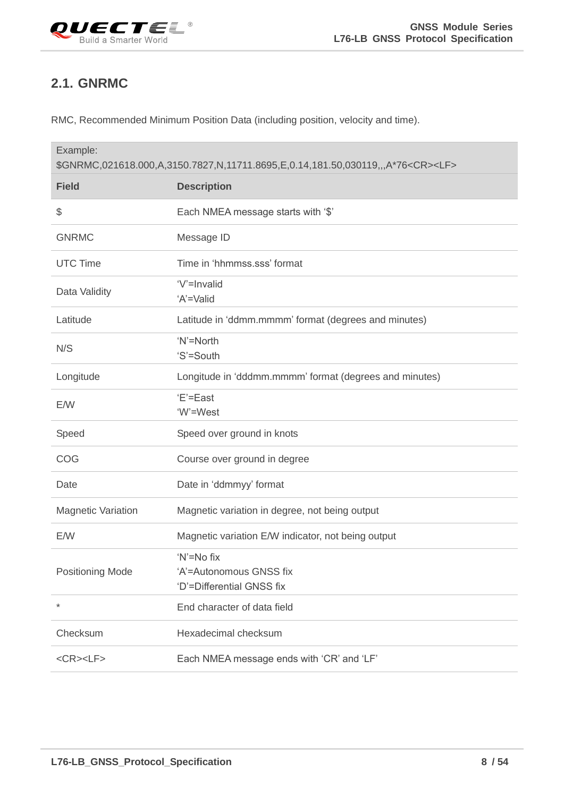<span id="page-8-0"></span>

### **2.1. GNRMC**

RMC, Recommended Minimum Position Data (including position, velocity and time).

| Example:                  | \$GNRMC,021618.000,A,3150.7827,N,11711.8695,E,0.14,181.50,030119,,,A*76 <cr><lf></lf></cr> |
|---------------------------|--------------------------------------------------------------------------------------------|
| <b>Field</b>              | <b>Description</b>                                                                         |
| \$                        | Each NMEA message starts with '\$'                                                         |
| <b>GNRMC</b>              | Message ID                                                                                 |
| <b>UTC Time</b>           | Time in 'hhmmss.sss' format                                                                |
| Data Validity             | 'V'=Invalid<br>'A'=Valid                                                                   |
| Latitude                  | Latitude in 'ddmm.mmmm' format (degrees and minutes)                                       |
| N/S                       | 'N'=North<br>'S'=South                                                                     |
| Longitude                 | Longitude in 'dddmm.mmmm' format (degrees and minutes)                                     |
| E/W                       | 'E'=East<br>'W'=West                                                                       |
| Speed                     | Speed over ground in knots                                                                 |
| COG                       | Course over ground in degree                                                               |
| Date                      | Date in 'ddmmyy' format                                                                    |
| <b>Magnetic Variation</b> | Magnetic variation in degree, not being output                                             |
| E/W                       | Magnetic variation E/W indicator, not being output                                         |
| <b>Positioning Mode</b>   | 'N'=No fix<br>'A'=Autonomous GNSS fix<br>'D'=Differential GNSS fix                         |
| $\star$                   | End character of data field                                                                |
| Checksum                  | Hexadecimal checksum                                                                       |
| $<$ CR> $<$ LF>           | Each NMEA message ends with 'CR' and 'LF'                                                  |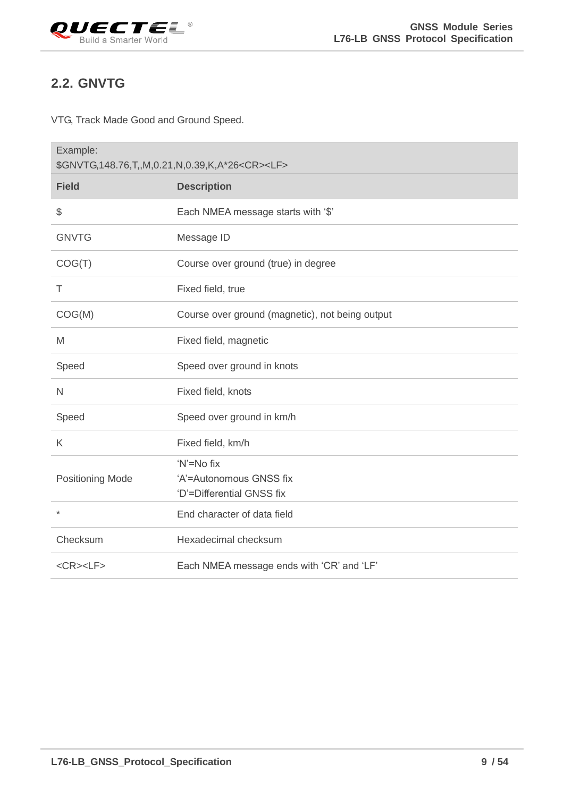<span id="page-9-0"></span>

#### **2.2. GNVTG**

VTG, Track Made Good and Ground Speed.

| Example:                | \$GNVTG,148.76,T,,M,0.21,N,0.39,K,A*26 <cr><lf></lf></cr>          |
|-------------------------|--------------------------------------------------------------------|
| <b>Field</b>            | <b>Description</b>                                                 |
| \$                      | Each NMEA message starts with '\$'                                 |
| <b>GNVTG</b>            | Message ID                                                         |
| COG(T)                  | Course over ground (true) in degree                                |
| Τ                       | Fixed field, true                                                  |
| COG(M)                  | Course over ground (magnetic), not being output                    |
| M                       | Fixed field, magnetic                                              |
| Speed                   | Speed over ground in knots                                         |
| $\mathsf{N}$            | Fixed field, knots                                                 |
| Speed                   | Speed over ground in km/h                                          |
| K                       | Fixed field, km/h                                                  |
| <b>Positioning Mode</b> | 'N'=No fix<br>'A'=Autonomous GNSS fix<br>'D'=Differential GNSS fix |
| $\star$                 | End character of data field                                        |
| Checksum                | Hexadecimal checksum                                               |
| $<$ CR> $<$ LF>         | Each NMEA message ends with 'CR' and 'LF'                          |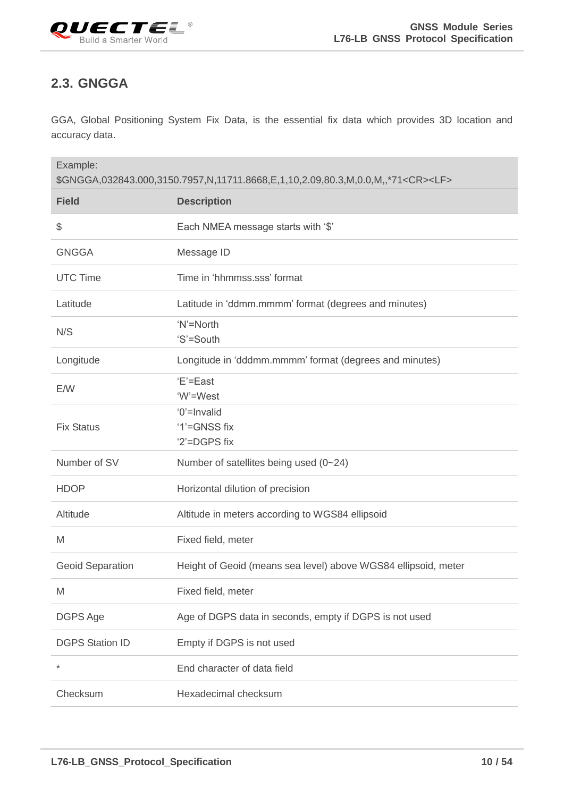<span id="page-10-0"></span>

#### **2.3. GNGGA**

GGA, Global Positioning System Fix Data, is the essential fix data which provides 3D location and accuracy data.

| Example:                | \$GNGGA,032843.000,3150.7957,N,11711.8668,E,1,10,2.09,80.3,M,0.0,M,,*71 <cr><lf></lf></cr> |
|-------------------------|--------------------------------------------------------------------------------------------|
| <b>Field</b>            | <b>Description</b>                                                                         |
| \$                      | Each NMEA message starts with '\$'                                                         |
| <b>GNGGA</b>            | Message ID                                                                                 |
| <b>UTC Time</b>         | Time in 'hhmmss.sss' format                                                                |
| Latitude                | Latitude in 'ddmm.mmmm' format (degrees and minutes)                                       |
| N/S                     | 'N'=North<br>'S'=South                                                                     |
| Longitude               | Longitude in 'dddmm.mmmm' format (degrees and minutes)                                     |
| E/W                     | 'E'=East<br>'W'=West                                                                       |
| <b>Fix Status</b>       | '0'=Invalid<br>'1'=GNSS fix<br>'2'=DGPS fix                                                |
| Number of SV            | Number of satellites being used (0~24)                                                     |
| <b>HDOP</b>             | Horizontal dilution of precision                                                           |
| Altitude                | Altitude in meters according to WGS84 ellipsoid                                            |
| M                       | Fixed field, meter                                                                         |
| <b>Geoid Separation</b> | Height of Geoid (means sea level) above WGS84 ellipsoid, meter                             |
| M                       | Fixed field, meter                                                                         |
| DGPS Age                | Age of DGPS data in seconds, empty if DGPS is not used                                     |
| <b>DGPS Station ID</b>  | Empty if DGPS is not used                                                                  |
| $\star$                 | End character of data field                                                                |
| Checksum                | Hexadecimal checksum                                                                       |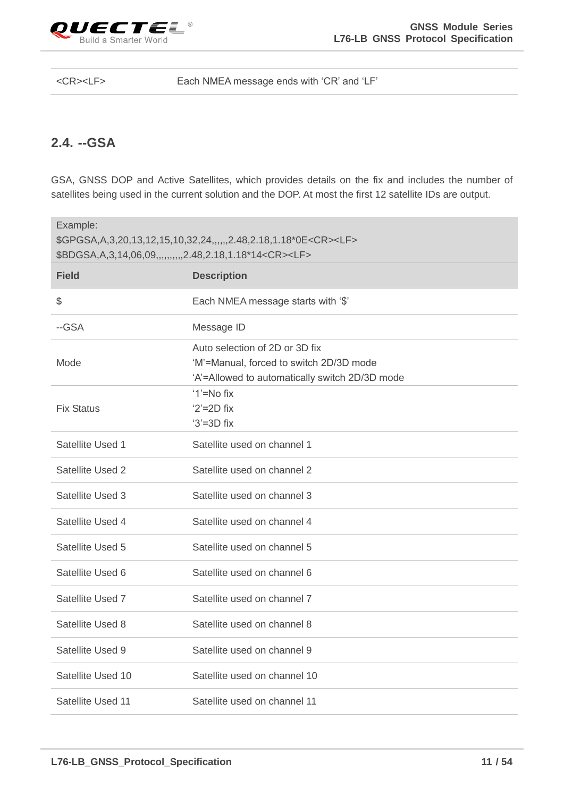

<CR><LF> Each NMEA message ends with 'CR' and 'LF'

#### <span id="page-11-0"></span>**2.4. --GSA**

GSA, GNSS DOP and Active Satellites, which provides details on the fix and includes the number of satellites being used in the current solution and the DOP. At most the first 12 satellite IDs are output.

| Example:          | \$GPGSA, A, 3, 20, 13, 12, 15, 10, 32, 24, ,,,,, 2. 48, 2. 18, 1. 18* 0E< CR >< LF ><br>\$BDGSA, A, 3, 14, 06, 09, ,,,,,,,,,,2.48, 2.18, 1.18*14 <cr><lf></lf></cr> |
|-------------------|---------------------------------------------------------------------------------------------------------------------------------------------------------------------|
| <b>Field</b>      | <b>Description</b>                                                                                                                                                  |
| \$                | Each NMEA message starts with '\$'                                                                                                                                  |
| --GSA             | Message ID                                                                                                                                                          |
| Mode              | Auto selection of 2D or 3D fix<br>'M'=Manual, forced to switch 2D/3D mode<br>'A'=Allowed to automatically switch 2D/3D mode                                         |
| <b>Fix Status</b> | $'1' = No fix$<br>$2' = 2D$ fix<br>$3' = 3D$ fix                                                                                                                    |
| Satellite Used 1  | Satellite used on channel 1                                                                                                                                         |
| Satellite Used 2  | Satellite used on channel 2                                                                                                                                         |
| Satellite Used 3  | Satellite used on channel 3                                                                                                                                         |
| Satellite Used 4  | Satellite used on channel 4                                                                                                                                         |
| Satellite Used 5  | Satellite used on channel 5                                                                                                                                         |
| Satellite Used 6  | Satellite used on channel 6                                                                                                                                         |
| Satellite Used 7  | Satellite used on channel 7                                                                                                                                         |
| Satellite Used 8  | Satellite used on channel 8                                                                                                                                         |
| Satellite Used 9  | Satellite used on channel 9                                                                                                                                         |
| Satellite Used 10 | Satellite used on channel 10                                                                                                                                        |
| Satellite Used 11 | Satellite used on channel 11                                                                                                                                        |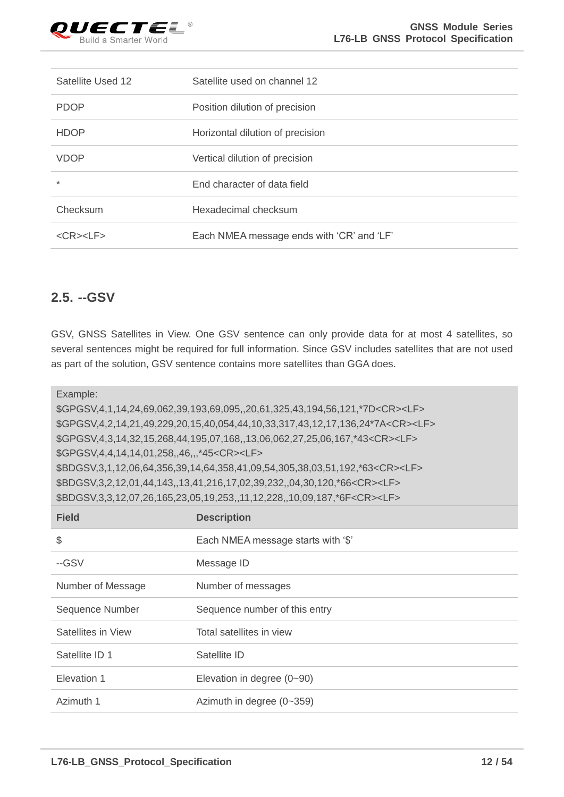

| Satellite Used 12     | Satellite used on channel 12              |
|-----------------------|-------------------------------------------|
| <b>PDOP</b>           | Position dilution of precision            |
| <b>HDOP</b>           | Horizontal dilution of precision          |
| <b>VDOP</b>           | Vertical dilution of precision            |
| $\ast$                | End character of data field               |
| Checksum              | Hexadecimal checksum                      |
| $<$ CR $>$ $<$ LF $>$ | Each NMEA message ends with 'CR' and 'LF' |

#### <span id="page-12-0"></span>**2.5. --GSV**

GSV, GNSS Satellites in View. One GSV sentence can only provide data for at most 4 satellites, so several sentences might be required for full information. Since GSV includes satellites that are not used as part of the solution, GSV sentence contains more satellites than GGA does.

Example:

\$GPGSV,4,1,14,24,69,062,39,193,69,095,,20,61,325,43,194,56,121,\*7D<CR><LF> \$GPGSV,4,2,14,21,49,229,20,15,40,054,44,10,33,317,43,12,17,136,24\*7A<CR><LF> \$GPGSV,4,3,14,32,15,268,44,195,07,168,,13,06,062,27,25,06,167,\*43<CR><LF> \$GPGSV,4,4,14,14,01,258,,46,,,\*45<CR><LF> \$BDGSV,3,1,12,06,64,356,39,14,64,358,41,09,54,305,38,03,51,192,\*63<CR><LF> \$BDGSV,3,2,12,01,44,143,,13,41,216,17,02,39,232,,04,30,120,\*66<CR><LF> \$BDGSV,3,3,12,07,26,165,23,05,19,253,,11,12,228,,10,09,187,\*6F<CR><LF>

| <b>Field</b>       | <b>Description</b>                 |
|--------------------|------------------------------------|
| $\$\$              | Each NMEA message starts with '\$' |
| --GSV              | Message ID                         |
| Number of Message  | Number of messages                 |
| Sequence Number    | Sequence number of this entry      |
| Satellites in View | Total satellites in view           |
| Satellite ID 1     | Satellite ID                       |
| Elevation 1        | Elevation in degree $(0-90)$       |
| Azimuth 1          | Azimuth in degree $(0-359)$        |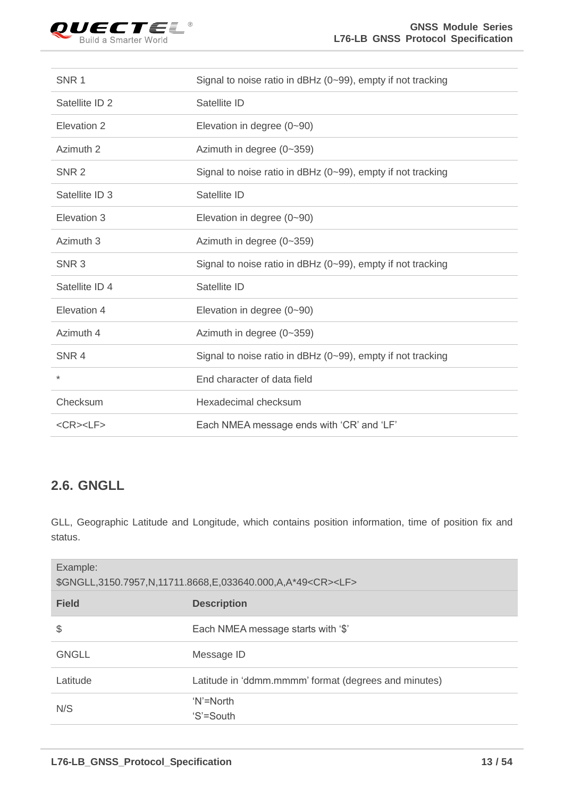

| SNR <sub>1</sub> | Signal to noise ratio in dBHz $(0-99)$ , empty if not tracking |
|------------------|----------------------------------------------------------------|
| Satellite ID 2   | Satellite ID                                                   |
| Elevation 2      | Elevation in degree $(0-90)$                                   |
| Azimuth 2        | Azimuth in degree (0~359)                                      |
| SNR <sub>2</sub> | Signal to noise ratio in dBHz (0~99), empty if not tracking    |
| Satellite ID 3   | Satellite ID                                                   |
| Elevation 3      | Elevation in degree (0~90)                                     |
| Azimuth 3        | Azimuth in degree (0~359)                                      |
|                  |                                                                |
| SNR <sub>3</sub> | Signal to noise ratio in dBHz (0~99), empty if not tracking    |
| Satellite ID 4   | Satellite ID                                                   |
| Elevation 4      | Elevation in degree (0~90)                                     |
| Azimuth 4        | Azimuth in degree (0~359)                                      |
| SNR <sub>4</sub> | Signal to noise ratio in dBHz (0~99), empty if not tracking    |
| $^\star$         | End character of data field                                    |
| Checksum         | Hexadecimal checksum                                           |

#### <span id="page-13-0"></span>**2.6. GNGLL**

GLL, Geographic Latitude and Longitude, which contains position information, time of position fix and status.

| Example:<br>\$GNGLL,3150.7957,N,11711.8668,E,033640.000,A,A*49 <cr><lf></lf></cr> |                                                      |  |
|-----------------------------------------------------------------------------------|------------------------------------------------------|--|
| <b>Field</b>                                                                      | <b>Description</b>                                   |  |
| \$                                                                                | Each NMEA message starts with '\$'                   |  |
| <b>GNGLL</b>                                                                      | Message ID                                           |  |
| Latitude                                                                          | Latitude in 'ddmm.mmmm' format (degrees and minutes) |  |
| N/S                                                                               | 'N'=North<br>'S'=South                               |  |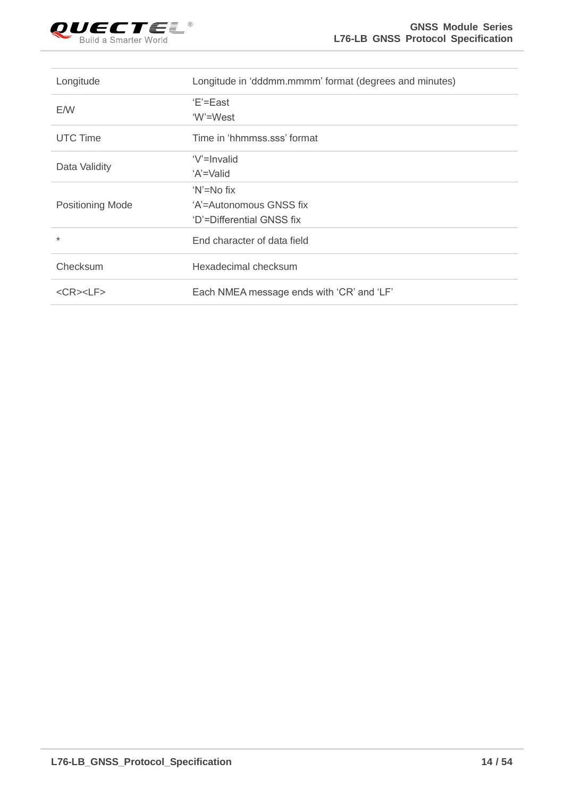

| Longitude               | Longitude in 'dddmm.mmmm' format (degrees and minutes) |
|-------------------------|--------------------------------------------------------|
| E/W                     | 'E'=East                                               |
|                         | 'W'=West                                               |
| UTC Time                | Time in 'hhmmss.sss' format                            |
|                         | 'V'=Invalid                                            |
| Data Validity           | 'A'=Valid                                              |
|                         | 'N'=No fix                                             |
| <b>Positioning Mode</b> | 'A'=Autonomous GNSS fix                                |
|                         | 'D'=Differential GNSS fix                              |
| $\star$                 | End character of data field                            |
| Checksum                | Hexadecimal checksum                                   |
| $<$ CR> $<$ LF>         | Each NMEA message ends with 'CR' and 'LF'              |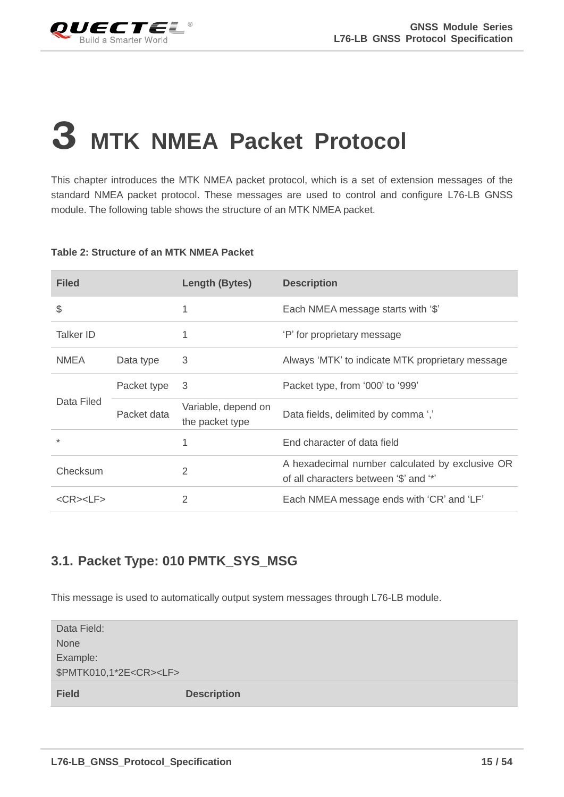

## <span id="page-15-0"></span>**3 MTK NMEA Packet Protocol**

This chapter introduces the MTK NMEA packet protocol, which is a set of extension messages of the standard NMEA packet protocol. These messages are used to control and configure L76-LB GNSS module. The following table shows the structure of an MTK NMEA packet.

#### <span id="page-15-2"></span>**Table 2: Structure of an MTK NMEA Packet**

| <b>Filed</b>    |             | Length (Bytes)                         | <b>Description</b>                                                                        |
|-----------------|-------------|----------------------------------------|-------------------------------------------------------------------------------------------|
| \$              |             | 1                                      | Each NMEA message starts with '\$'                                                        |
| Talker ID       |             | 1                                      | 'P' for proprietary message                                                               |
| NMEA.           | Data type   | 3                                      | Always 'MTK' to indicate MTK proprietary message                                          |
|                 | Packet type | -3                                     | Packet type, from '000' to '999'                                                          |
| Data Filed      | Packet data | Variable, depend on<br>the packet type | Data fields, delimited by comma ','                                                       |
| $\star$         |             |                                        | End character of data field                                                               |
| Checksum        |             | 2                                      | A hexadecimal number calculated by exclusive OR<br>of all characters between '\$' and '*' |
| $<$ CR> $<$ LF> |             | $\overline{2}$                         | Each NMEA message ends with 'CR' and 'LF'                                                 |

#### <span id="page-15-1"></span>**3.1. Packet Type: 010 PMTK\_SYS\_MSG**

This message is used to automatically output system messages through L76-LB module.

| Data Field:                       |                    |
|-----------------------------------|--------------------|
| <b>None</b>                       |                    |
| Example:                          |                    |
| \$PMTK010,1*2E <cr><lf></lf></cr> |                    |
| <b>Field</b>                      | <b>Description</b> |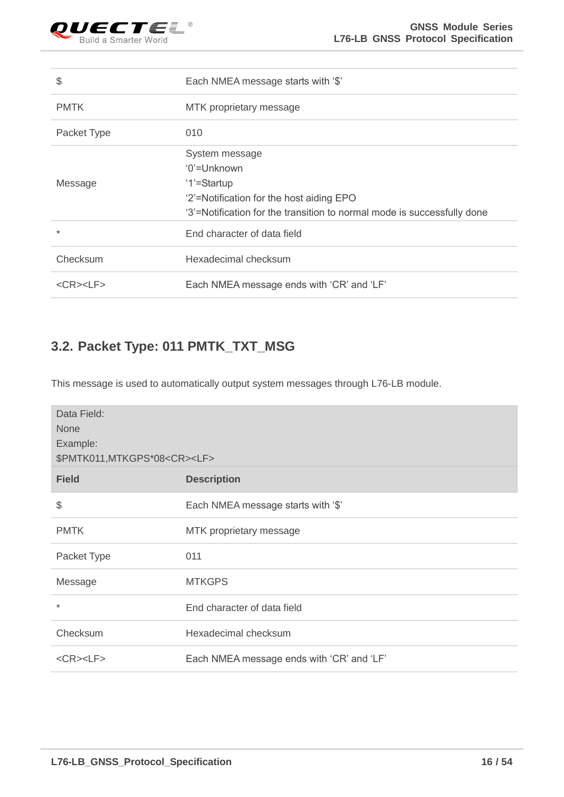

| \$              | Each NMEA message starts with '\$'                                      |
|-----------------|-------------------------------------------------------------------------|
| <b>PMTK</b>     | MTK proprietary message                                                 |
| Packet Type     | 010                                                                     |
|                 | System message                                                          |
|                 | '0'=Unknown                                                             |
| Message         | '1'=Startup                                                             |
|                 | '2'=Notification for the host aiding EPO                                |
|                 | '3'=Notification for the transition to normal mode is successfully done |
| $\ast$          | End character of data field                                             |
| Checksum        | Hexadecimal checksum                                                    |
| $<$ CR> $<$ LF> | Each NMEA message ends with 'CR' and 'LF'                               |

#### <span id="page-16-0"></span>**3.2. Packet Type: 011 PMTK\_TXT\_MSG**

This message is used to automatically output system messages through L76-LB module.

| Data Field:<br><b>None</b><br>Example:<br>\$PMTK011, MTKGPS*08 <cr><lf></lf></cr> |                                           |  |
|-----------------------------------------------------------------------------------|-------------------------------------------|--|
| <b>Field</b>                                                                      | <b>Description</b>                        |  |
| \$                                                                                | Each NMEA message starts with '\$'        |  |
| <b>PMTK</b>                                                                       | MTK proprietary message                   |  |
| Packet Type                                                                       | 011                                       |  |
| Message                                                                           | <b>MTKGPS</b>                             |  |
| $\star$                                                                           | End character of data field               |  |
| Checksum                                                                          | Hexadecimal checksum                      |  |
| $<$ CR> $<$ LF>                                                                   | Each NMEA message ends with 'CR' and 'LF' |  |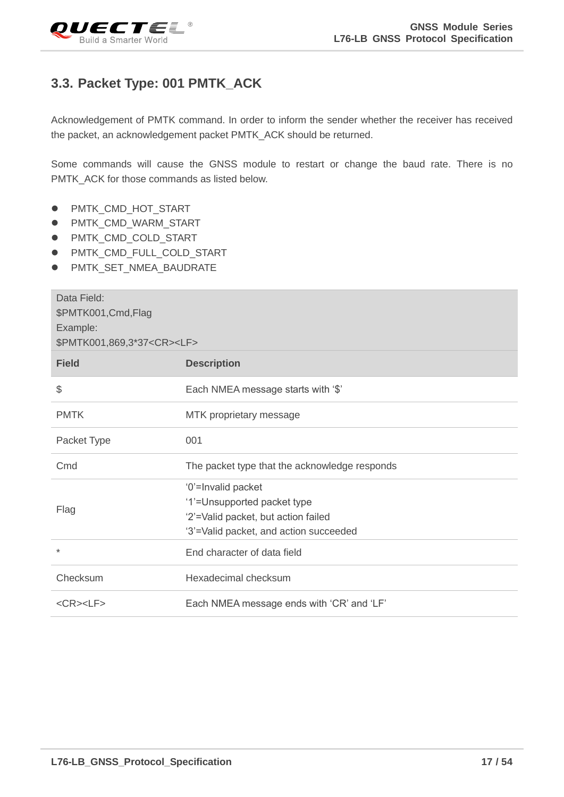<span id="page-17-0"></span>

#### **3.3. Packet Type: 001 PMTK\_ACK**

Acknowledgement of PMTK command. In order to inform the sender whether the receiver has received the packet, an acknowledgement packet PMTK\_ACK should be returned.

Some commands will cause the GNSS module to restart or change the baud rate. There is no PMTK\_ACK for those commands as listed below.

- ⚫ PMTK\_CMD\_HOT\_START
- ⚫ PMTK\_CMD\_WARM\_START
- ⚫ PMTK\_CMD\_COLD\_START
- ⚫ PMTK\_CMD\_FULL\_COLD\_START
- ⚫ PMTK\_SET\_NMEA\_BAUDRATE

| Data Field:<br>\$PMTK001, Cmd, Flag<br>Example:<br>\$PMTK001,869,3*37 <cr><lf></lf></cr> |                                                                                                                                    |
|------------------------------------------------------------------------------------------|------------------------------------------------------------------------------------------------------------------------------------|
| <b>Field</b>                                                                             | <b>Description</b>                                                                                                                 |
| \$                                                                                       | Each NMEA message starts with '\$'                                                                                                 |
| <b>PMTK</b>                                                                              | MTK proprietary message                                                                                                            |
| Packet Type                                                                              | 001                                                                                                                                |
| Cmd                                                                                      | The packet type that the acknowledge responds                                                                                      |
| Flag                                                                                     | '0'=Invalid packet<br>'1'=Unsupported packet type<br>'2'=Valid packet, but action failed<br>'3'=Valid packet, and action succeeded |
| $\ast$                                                                                   | End character of data field                                                                                                        |
| Checksum                                                                                 | Hexadecimal checksum                                                                                                               |
| $<$ CR> $<$ LF>                                                                          | Each NMEA message ends with 'CR' and 'LF'                                                                                          |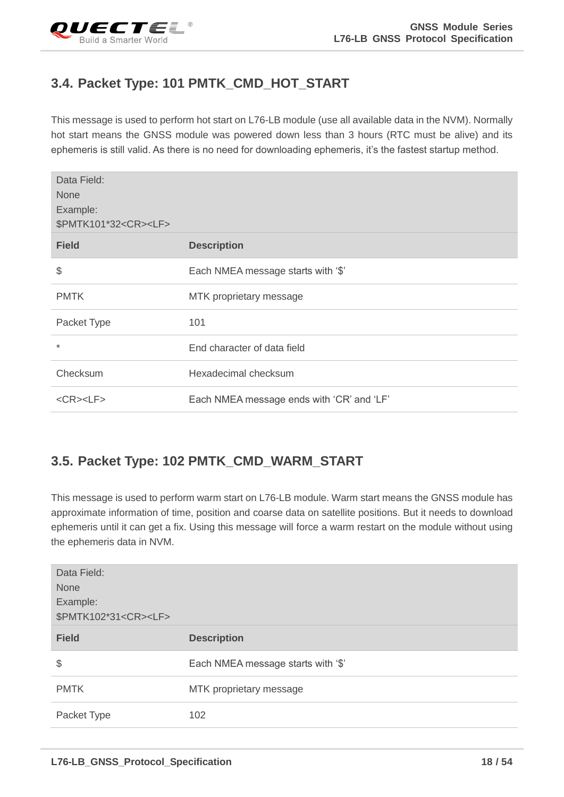## <span id="page-18-0"></span>**3.4. Packet Type: 101 PMTK\_CMD\_HOT\_START**

This message is used to perform hot start on L76-LB module (use all available data in the NVM). Normally hot start means the GNSS module was powered down less than 3 hours (RTC must be alive) and its ephemeris is still valid. As there is no need for downloading ephemeris, it's the fastest startup method.

| Data Field:<br><b>None</b><br>Example:<br>\$PMTK101*32 <cr><lf></lf></cr> |                                           |
|---------------------------------------------------------------------------|-------------------------------------------|
| <b>Field</b>                                                              | <b>Description</b>                        |
| \$                                                                        | Each NMEA message starts with '\$'        |
| <b>PMTK</b>                                                               | MTK proprietary message                   |
| Packet Type                                                               | 101                                       |
| $\star$                                                                   | End character of data field               |
| Checksum                                                                  | Hexadecimal checksum                      |
| $<$ CR> $<$ LF>                                                           | Each NMEA message ends with 'CR' and 'LF' |

## <span id="page-18-1"></span>**3.5. Packet Type: 102 PMTK\_CMD\_WARM\_START**

This message is used to perform warm start on L76-LB module. Warm start means the GNSS module has approximate information of time, position and coarse data on satellite positions. But it needs to download ephemeris until it can get a fix. Using this message will force a warm restart on the module without using the ephemeris data in NVM.

| Data Field:<br>None<br>Example:<br>\$PMTK102*31 <cr><lf></lf></cr> |                                    |
|--------------------------------------------------------------------|------------------------------------|
| <b>Field</b>                                                       | <b>Description</b>                 |
| \$                                                                 | Each NMEA message starts with '\$' |
| <b>PMTK</b>                                                        | MTK proprietary message            |
| Packet Type                                                        | 102                                |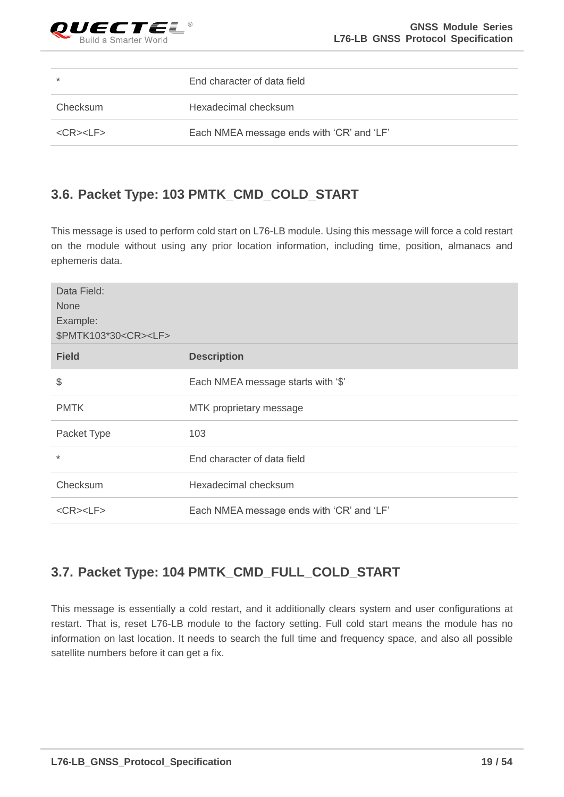

| $\star$         | End character of data field               |
|-----------------|-------------------------------------------|
| Checksum        | Hexadecimal checksum                      |
| $<$ CR> $<$ LF> | Each NMEA message ends with 'CR' and 'LF' |

#### <span id="page-19-0"></span>**3.6. Packet Type: 103 PMTK\_CMD\_COLD\_START**

This message is used to perform cold start on L76-LB module. Using this message will force a cold restart on the module without using any prior location information, including time, position, almanacs and ephemeris data.

| Data Field:<br><b>None</b><br>Example:<br>\$PMTK103*30 <cr><lf></lf></cr> |                                           |
|---------------------------------------------------------------------------|-------------------------------------------|
| <b>Field</b>                                                              | <b>Description</b>                        |
| \$                                                                        | Each NMEA message starts with '\$'        |
| <b>PMTK</b>                                                               | MTK proprietary message                   |
| Packet Type                                                               | 103                                       |
| $\ast$                                                                    | End character of data field               |
| Checksum                                                                  | Hexadecimal checksum                      |
| $<$ CR> $<$ LF>                                                           | Each NMEA message ends with 'CR' and 'LF' |

## <span id="page-19-1"></span>**3.7. Packet Type: 104 PMTK\_CMD\_FULL\_COLD\_START**

This message is essentially a cold restart, and it additionally clears system and user configurations at restart. That is, reset L76-LB module to the factory setting. Full cold start means the module has no information on last location. It needs to search the full time and frequency space, and also all possible satellite numbers before it can get a fix.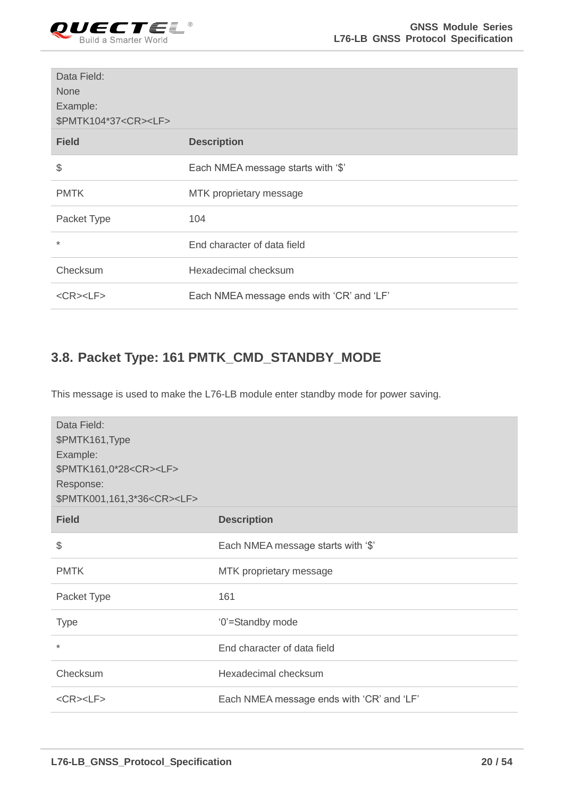

| Data Field:<br><b>None</b><br>Example:<br>\$PMTK104*37 <cr><lf></lf></cr> |                                           |
|---------------------------------------------------------------------------|-------------------------------------------|
| <b>Field</b>                                                              | <b>Description</b>                        |
| \$                                                                        | Each NMEA message starts with '\$'        |
| <b>PMTK</b>                                                               | MTK proprietary message                   |
| Packet Type                                                               | 104                                       |
| $\star$                                                                   | End character of data field               |
| Checksum                                                                  | Hexadecimal checksum                      |
| $<$ CR> $<$ LF>                                                           | Each NMEA message ends with 'CR' and 'LF' |

#### <span id="page-20-0"></span>**3.8. Packet Type: 161 PMTK\_CMD\_STANDBY\_MODE**

This message is used to make the L76-LB module enter standby mode for power saving.

| Data Field:<br>\$PMTK161, Type<br>Example:<br>\$PMTK161,0*28 <cr><lf><br/>Response:<br/>\$PMTK001,161,3*36<cr><lf></lf></cr></lf></cr> |                                           |
|----------------------------------------------------------------------------------------------------------------------------------------|-------------------------------------------|
| <b>Field</b>                                                                                                                           | <b>Description</b>                        |
| \$                                                                                                                                     | Each NMEA message starts with '\$'        |
| <b>PMTK</b>                                                                                                                            | MTK proprietary message                   |
| Packet Type                                                                                                                            | 161                                       |
| <b>Type</b>                                                                                                                            | '0'=Standby mode                          |
| $\star$                                                                                                                                | End character of data field               |
| Checksum                                                                                                                               | Hexadecimal checksum                      |
| $<$ CR> $<$ LF>                                                                                                                        | Each NMEA message ends with 'CR' and 'LF' |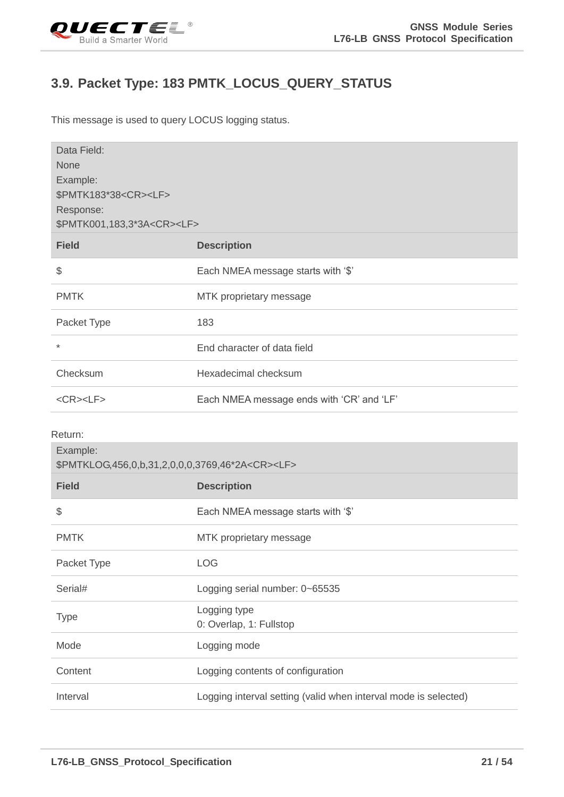<span id="page-21-0"></span>

#### **3.9. Packet Type: 183 PMTK\_LOCUS\_QUERY\_STATUS**

This message is used to query LOCUS logging status.

| Data Field:<br><b>None</b><br>Example:<br>\$PMTK183*38 <cr><lf><br/>Response:<br/>\$PMTK001,183,3*3A<cr><lf></lf></cr></lf></cr> |                                                                 |
|----------------------------------------------------------------------------------------------------------------------------------|-----------------------------------------------------------------|
| <b>Field</b>                                                                                                                     | <b>Description</b>                                              |
| \$                                                                                                                               | Each NMEA message starts with '\$'                              |
| <b>PMTK</b>                                                                                                                      | MTK proprietary message                                         |
| Packet Type                                                                                                                      | 183                                                             |
| $\star$                                                                                                                          | End character of data field                                     |
| Checksum                                                                                                                         | Hexadecimal checksum                                            |
| $<$ CR> $<$ LF>                                                                                                                  | Each NMEA message ends with 'CR' and 'LF'                       |
| Return:<br>Example:<br>\$PMTKLOG,456,0,b,31,2,0,0,0,3769,46*2A <cr><lf></lf></cr>                                                |                                                                 |
| <b>Field</b>                                                                                                                     | <b>Description</b>                                              |
| \$                                                                                                                               | Each NMEA message starts with '\$'                              |
| <b>PMTK</b>                                                                                                                      | MTK proprietary message                                         |
| Packet Type                                                                                                                      | LOG                                                             |
| Serial#                                                                                                                          | Logging serial number: 0~65535                                  |
| <b>Type</b>                                                                                                                      | Logging type<br>0: Overlap, 1: Fullstop                         |
| Mode                                                                                                                             | Logging mode                                                    |
| Content                                                                                                                          | Logging contents of configuration                               |
| Interval                                                                                                                         | Logging interval setting (valid when interval mode is selected) |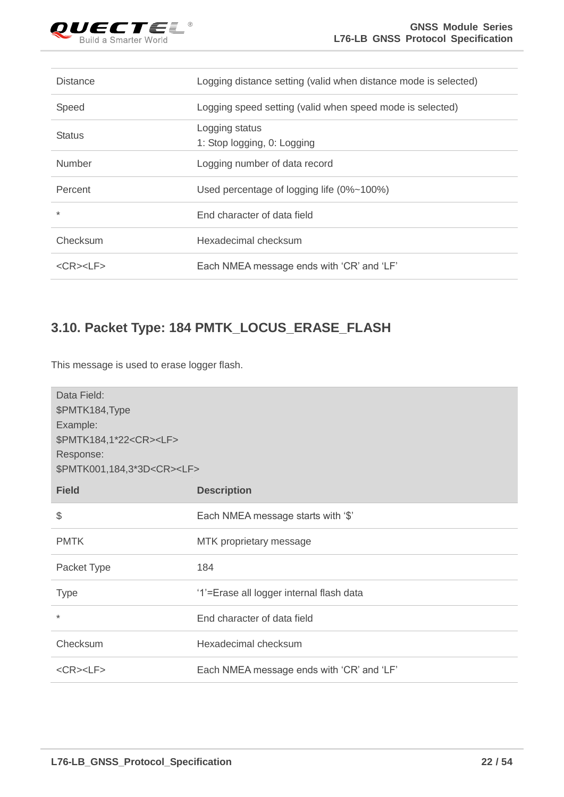

| <b>Distance</b>       | Logging distance setting (valid when distance mode is selected) |
|-----------------------|-----------------------------------------------------------------|
| Speed                 | Logging speed setting (valid when speed mode is selected)       |
| <b>Status</b>         | Logging status<br>1: Stop logging, 0: Logging                   |
| <b>Number</b>         | Logging number of data record                                   |
| Percent               | Used percentage of logging life (0%~100%)                       |
| $\star$               | End character of data field                                     |
| Checksum              | Hexadecimal checksum                                            |
| $<$ CR $>$ $<$ LF $>$ | Each NMEA message ends with 'CR' and 'LF'                       |

## <span id="page-22-0"></span>**3.10. Packet Type: 184 PMTK\_LOCUS\_ERASE\_FLASH**

This message is used to erase logger flash.

| Data Field:<br>\$PMTK184, Type<br>Example:<br>\$PMTK184,1*22 <cr><lf><br/>Response:<br/>\$PMTK001,184,3*3D<cr><lf></lf></cr></lf></cr> |                                           |
|----------------------------------------------------------------------------------------------------------------------------------------|-------------------------------------------|
| <b>Field</b>                                                                                                                           | <b>Description</b>                        |
| \$                                                                                                                                     | Each NMEA message starts with '\$'        |
| <b>PMTK</b>                                                                                                                            | MTK proprietary message                   |
| Packet Type                                                                                                                            | 184                                       |
| <b>Type</b>                                                                                                                            | '1'=Erase all logger internal flash data  |
| $\ast$                                                                                                                                 | End character of data field               |
| Checksum                                                                                                                               | Hexadecimal checksum                      |
| $<$ CR> $<$ LF>                                                                                                                        | Each NMEA message ends with 'CR' and 'LF' |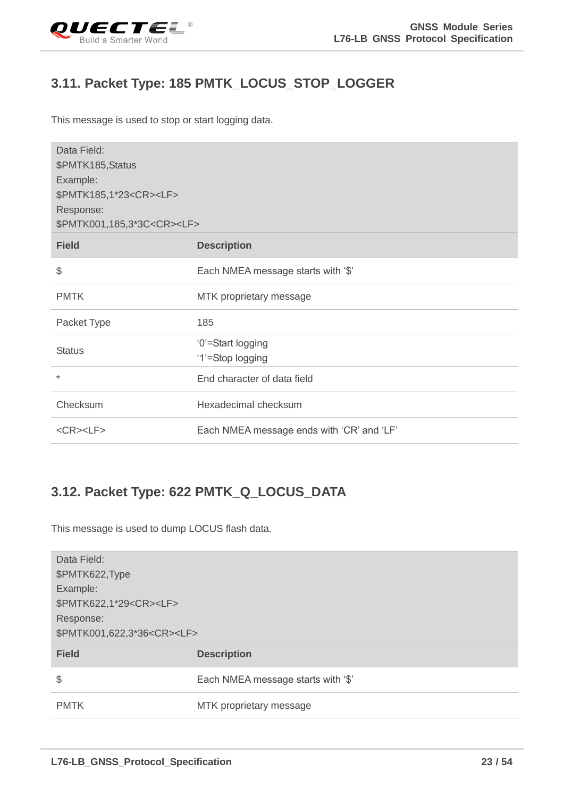<span id="page-23-0"></span>

#### **3.11. Packet Type: 185 PMTK\_LOCUS\_STOP\_LOGGER**

This message is used to stop or start logging data.

| Data Field:<br>\$PMTK185, Status<br>Example:<br>\$PMTK185,1*23 <cr><lf><br/>Response:<br/>\$PMTK001,185,3*3C<cr><lf></lf></cr></lf></cr> |                                           |
|------------------------------------------------------------------------------------------------------------------------------------------|-------------------------------------------|
| <b>Field</b>                                                                                                                             | <b>Description</b>                        |
| \$                                                                                                                                       | Each NMEA message starts with '\$'        |
| <b>PMTK</b>                                                                                                                              | MTK proprietary message                   |
| Packet Type                                                                                                                              | 185                                       |
| <b>Status</b>                                                                                                                            | '0'=Start logging<br>'1'=Stop logging     |
| $\star$                                                                                                                                  | End character of data field               |
| Checksum                                                                                                                                 | Hexadecimal checksum                      |
| $<$ CR> $<$ LF>                                                                                                                          | Each NMEA message ends with 'CR' and 'LF' |

## <span id="page-23-1"></span>**3.12. Packet Type: 622 PMTK\_Q\_LOCUS\_DATA**

This message is used to dump LOCUS flash data.

| Data Field:<br>\$PMTK622, Type<br>Example:<br>\$PMTK622,1*29 <cr><lf><br/>Response:<br/>\$PMTK001,622,3*36<cr><lf></lf></cr></lf></cr> |                                    |
|----------------------------------------------------------------------------------------------------------------------------------------|------------------------------------|
| <b>Field</b>                                                                                                                           | <b>Description</b>                 |
| \$                                                                                                                                     | Each NMEA message starts with '\$' |
| <b>PMTK</b>                                                                                                                            | MTK proprietary message            |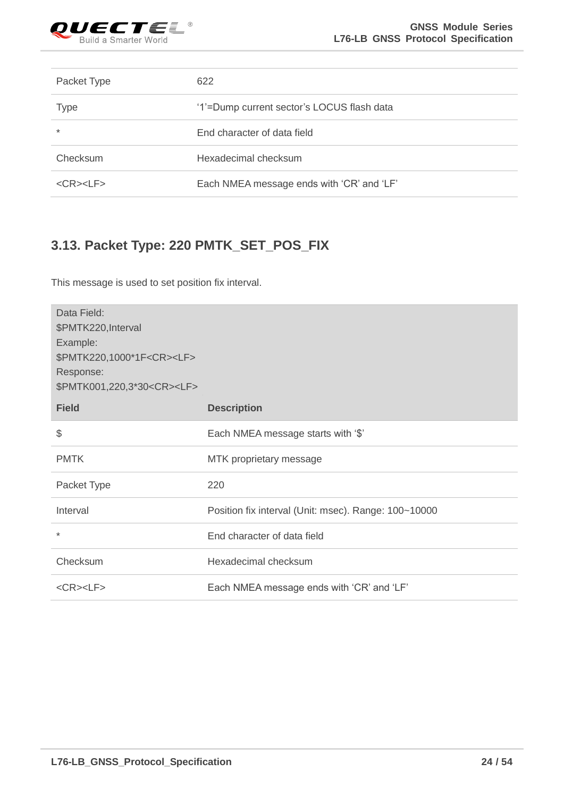

| Packet Type           | 622                                        |
|-----------------------|--------------------------------------------|
| <b>Type</b>           | '1'=Dump current sector's LOCUS flash data |
| $\ast$                | End character of data field                |
| Checksum              | Hexadecimal checksum                       |
| $<$ CR $>$ $<$ LF $>$ | Each NMEA message ends with 'CR' and 'LF'  |

## <span id="page-24-0"></span>**3.13. Packet Type: 220 PMTK\_SET\_POS\_FIX**

This message is used to set position fix interval.

| Data Field:<br>\$PMTK220, Interval<br>Example:<br>\$PMTK220,1000*1F <cr><lf><br/>Response:<br/>\$PMTK001,220,3*30<cr><lf></lf></cr></lf></cr> |                                                      |
|-----------------------------------------------------------------------------------------------------------------------------------------------|------------------------------------------------------|
| <b>Field</b>                                                                                                                                  | <b>Description</b>                                   |
| \$                                                                                                                                            | Each NMEA message starts with '\$'                   |
| <b>PMTK</b>                                                                                                                                   | MTK proprietary message                              |
| Packet Type                                                                                                                                   | 220                                                  |
| Interval                                                                                                                                      | Position fix interval (Unit: msec). Range: 100~10000 |
| $\star$                                                                                                                                       | End character of data field                          |
| Checksum                                                                                                                                      | Hexadecimal checksum                                 |
| $<$ CR> $<$ LF>                                                                                                                               | Each NMEA message ends with 'CR' and 'LF'            |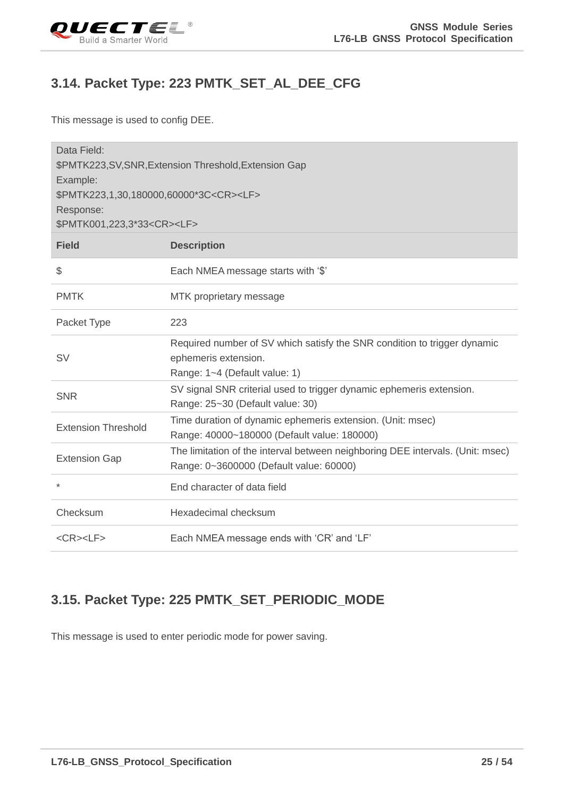<span id="page-25-0"></span>

#### **3.14. Packet Type: 223 PMTK\_SET\_AL\_DEE\_CFG**

This message is used to config DEE.

| Data Field:<br>\$PMTK223,SV,SNR,Extension Threshold,Extension Gap<br>Example:<br>\$PMTK223,1,30,180000,60000*3C <cr><lf><br/>Response:<br/>\$PMTK001,223,3*33<cr><lf></lf></cr></lf></cr> |                                                                                                                                   |  |
|-------------------------------------------------------------------------------------------------------------------------------------------------------------------------------------------|-----------------------------------------------------------------------------------------------------------------------------------|--|
| <b>Field</b>                                                                                                                                                                              | <b>Description</b>                                                                                                                |  |
| \$                                                                                                                                                                                        | Each NMEA message starts with '\$'                                                                                                |  |
| <b>PMTK</b>                                                                                                                                                                               | MTK proprietary message                                                                                                           |  |
| Packet Type                                                                                                                                                                               | 223                                                                                                                               |  |
| <b>SV</b>                                                                                                                                                                                 | Required number of SV which satisfy the SNR condition to trigger dynamic<br>ephemeris extension.<br>Range: 1~4 (Default value: 1) |  |
| <b>SNR</b>                                                                                                                                                                                | SV signal SNR criterial used to trigger dynamic ephemeris extension.<br>Range: 25~30 (Default value: 30)                          |  |
| <b>Extension Threshold</b>                                                                                                                                                                | Time duration of dynamic ephemeris extension. (Unit: msec)<br>Range: 40000~180000 (Default value: 180000)                         |  |
| <b>Extension Gap</b>                                                                                                                                                                      | The limitation of the interval between neighboring DEE intervals. (Unit: msec)<br>Range: 0~3600000 (Default value: 60000)         |  |
| $\ast$                                                                                                                                                                                    | End character of data field                                                                                                       |  |
| Checksum                                                                                                                                                                                  | Hexadecimal checksum                                                                                                              |  |
| $<$ CR> $<$ LF>                                                                                                                                                                           | Each NMEA message ends with 'CR' and 'LF'                                                                                         |  |

## <span id="page-25-1"></span>**3.15. Packet Type: 225 PMTK\_SET\_PERIODIC\_MODE**

This message is used to enter periodic mode for power saving.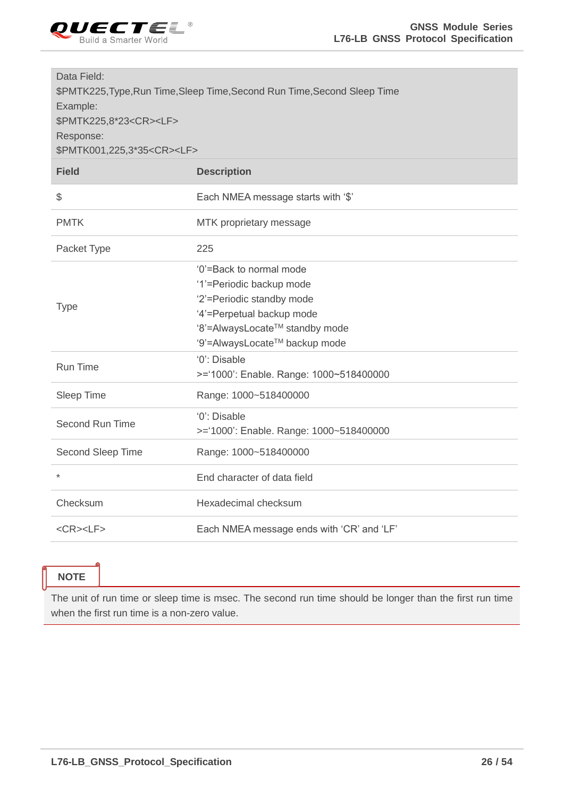

| Data Field:<br>\$PMTK225, Type, Run Time, Sleep Time, Second Run Time, Second Sleep Time<br>Example:<br>\$PMTK225,8*23 <cr><lf><br/>Response:<br/>\$PMTK001,225,3*35<cr><lf></lf></cr></lf></cr> |                                                                                                                                                                                  |
|--------------------------------------------------------------------------------------------------------------------------------------------------------------------------------------------------|----------------------------------------------------------------------------------------------------------------------------------------------------------------------------------|
| <b>Field</b>                                                                                                                                                                                     | <b>Description</b>                                                                                                                                                               |
| \$                                                                                                                                                                                               | Each NMEA message starts with '\$'                                                                                                                                               |
| <b>PMTK</b>                                                                                                                                                                                      | MTK proprietary message                                                                                                                                                          |
| Packet Type                                                                                                                                                                                      | 225                                                                                                                                                                              |
| <b>Type</b>                                                                                                                                                                                      | '0'=Back to normal mode<br>'1'=Periodic backup mode<br>'2'=Periodic standby mode<br>'4'=Perpetual backup mode<br>'8'=AlwaysLocate™ standby mode<br>'9'=AlwaysLocate™ backup mode |
| <b>Run Time</b>                                                                                                                                                                                  | '0': Disable<br>>='1000': Enable. Range: 1000~518400000                                                                                                                          |
| Sleep Time                                                                                                                                                                                       | Range: 1000~518400000                                                                                                                                                            |
| Second Run Time                                                                                                                                                                                  | '0': Disable<br>>='1000': Enable. Range: 1000~518400000                                                                                                                          |
| Second Sleep Time                                                                                                                                                                                | Range: 1000~518400000                                                                                                                                                            |
| $\star$                                                                                                                                                                                          | End character of data field                                                                                                                                                      |
| Checksum                                                                                                                                                                                         | Hexadecimal checksum                                                                                                                                                             |
| $<$ CR> $<$ LF>                                                                                                                                                                                  | Each NMEA message ends with 'CR' and 'LF'                                                                                                                                        |

#### **NOTE**

The unit of run time or sleep time is msec. The second run time should be longer than the first run time when the first run time is a non-zero value.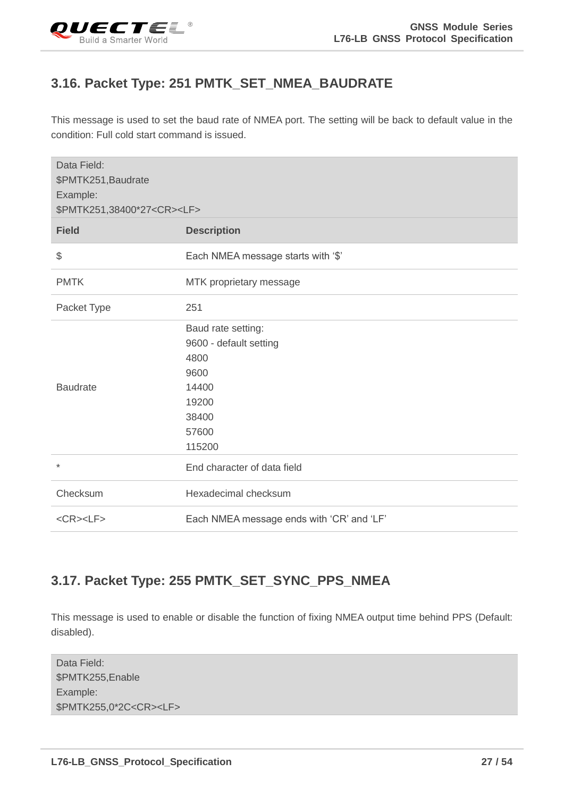<span id="page-27-0"></span>

#### **3.16. Packet Type: 251 PMTK\_SET\_NMEA\_BAUDRATE**

This message is used to set the baud rate of NMEA port. The setting will be back to default value in the condition: Full cold start command is issued.

| Data Field:<br>\$PMTK251, Baudrate<br>Example:<br>\$PMTK251,38400*27 <cr><lf></lf></cr> |                                                                                                            |
|-----------------------------------------------------------------------------------------|------------------------------------------------------------------------------------------------------------|
| <b>Field</b>                                                                            | <b>Description</b>                                                                                         |
| \$                                                                                      | Each NMEA message starts with '\$'                                                                         |
| <b>PMTK</b>                                                                             | MTK proprietary message                                                                                    |
| Packet Type                                                                             | 251                                                                                                        |
| <b>Baudrate</b>                                                                         | Baud rate setting:<br>9600 - default setting<br>4800<br>9600<br>14400<br>19200<br>38400<br>57600<br>115200 |
| $\star$                                                                                 | End character of data field                                                                                |
| Checksum                                                                                | Hexadecimal checksum                                                                                       |
| $<$ CR> $<$ LF>                                                                         | Each NMEA message ends with 'CR' and 'LF'                                                                  |

#### <span id="page-27-1"></span>**3.17. Packet Type: 255 PMTK\_SET\_SYNC\_PPS\_NMEA**

This message is used to enable or disable the function of fixing NMEA output time behind PPS (Default: disabled).

| Data Field:                       |
|-----------------------------------|
| \$PMTK255, Enable                 |
| Example:                          |
| \$PMTK255,0*2C <cr><lf></lf></cr> |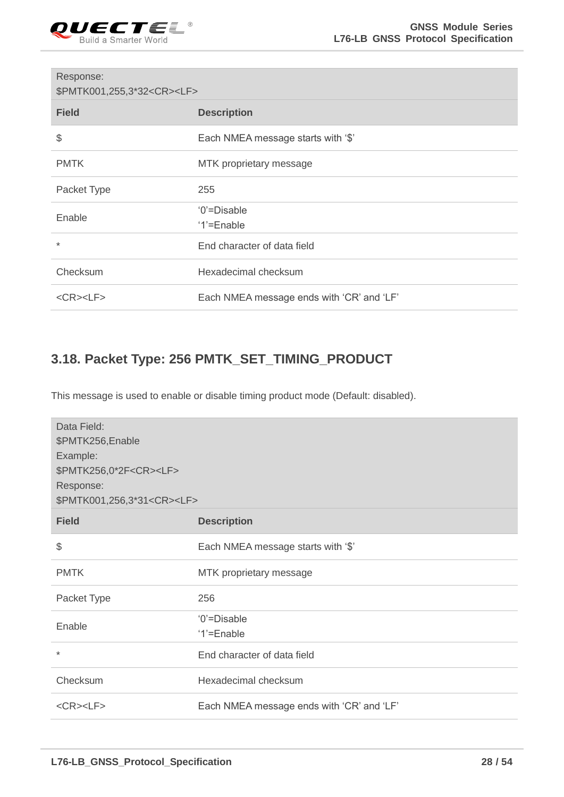

| Response:<br>\$PMTK001,255,3*32 <cr><lf></lf></cr> |                                           |  |
|----------------------------------------------------|-------------------------------------------|--|
| <b>Field</b>                                       | <b>Description</b>                        |  |
| \$                                                 | Each NMEA message starts with '\$'        |  |
| <b>PMTK</b>                                        | MTK proprietary message                   |  |
| Packet Type                                        | 255                                       |  |
| Enable                                             | '0'=Disable<br>'1'=Enable                 |  |
| $\star$                                            | End character of data field               |  |
| Checksum                                           | Hexadecimal checksum                      |  |
| $<$ CR> $<$ LF>                                    | Each NMEA message ends with 'CR' and 'LF' |  |

## <span id="page-28-0"></span>**3.18. Packet Type: 256 PMTK\_SET\_TIMING\_PRODUCT**

This message is used to enable or disable timing product mode (Default: disabled).

| Data Field:<br>\$PMTK256, Enable<br>Example:<br>\$PMTK256,0*2F <cr><lf><br/>Response:<br/>\$PMTK001,256,3*31<cr><lf></lf></cr></lf></cr> |                                           |  |
|------------------------------------------------------------------------------------------------------------------------------------------|-------------------------------------------|--|
| <b>Field</b>                                                                                                                             | <b>Description</b>                        |  |
| \$                                                                                                                                       | Each NMEA message starts with '\$'        |  |
| <b>PMTK</b>                                                                                                                              | MTK proprietary message                   |  |
| Packet Type                                                                                                                              | 256                                       |  |
| Enable                                                                                                                                   | '0'=Disable<br>'1'=Enable                 |  |
| $\ast$                                                                                                                                   | End character of data field               |  |
| Checksum                                                                                                                                 | Hexadecimal checksum                      |  |
| $<$ CR> $<$ LF>                                                                                                                          | Each NMEA message ends with 'CR' and 'LF' |  |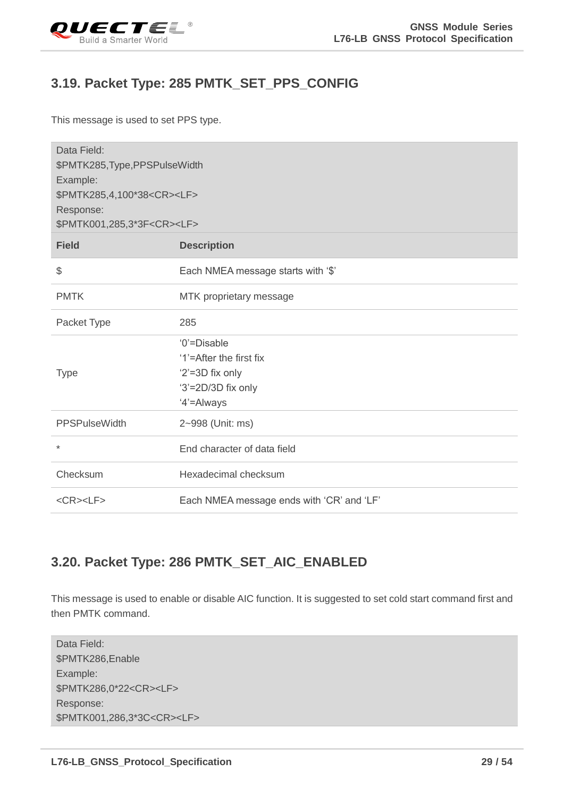<span id="page-29-0"></span>

#### **3.19. Packet Type: 285 PMTK\_SET\_PPS\_CONFIG**

This message is used to set PPS type.

| Data Field:<br>\$PMTK285, Type, PPSPulseWidth<br>Example:<br>\$PMTK285,4,100*38 <cr><lf><br/>Response:<br/>\$PMTK001,285,3*3F<cr><lf></lf></cr></lf></cr> |                                                                                               |  |
|-----------------------------------------------------------------------------------------------------------------------------------------------------------|-----------------------------------------------------------------------------------------------|--|
| <b>Field</b>                                                                                                                                              | <b>Description</b>                                                                            |  |
| \$                                                                                                                                                        | Each NMEA message starts with '\$'                                                            |  |
| <b>PMTK</b>                                                                                                                                               | MTK proprietary message                                                                       |  |
| Packet Type                                                                                                                                               | 285                                                                                           |  |
| <b>Type</b>                                                                                                                                               | '0'=Disable<br>'1'=After the first fix<br>'2'=3D fix only<br>'3'=2D/3D fix only<br>'4'=Always |  |
| <b>PPSPulseWidth</b>                                                                                                                                      | 2~998 (Unit: ms)                                                                              |  |
| $\star$                                                                                                                                                   | End character of data field                                                                   |  |
| Checksum                                                                                                                                                  | Hexadecimal checksum                                                                          |  |
| $<$ CR> $<$ LF>                                                                                                                                           | Each NMEA message ends with 'CR' and 'LF'                                                     |  |

#### <span id="page-29-1"></span>**3.20. Packet Type: 286 PMTK\_SET\_AIC\_ENABLED**

This message is used to enable or disable AIC function. It is suggested to set cold start command first and then PMTK command.

| Data Field:                           |
|---------------------------------------|
| \$PMTK286, Enable                     |
| Example:                              |
| \$PMTK286,0*22 <cr><lf></lf></cr>     |
| Response:                             |
| \$PMTK001,286,3*3C <cr><lf></lf></cr> |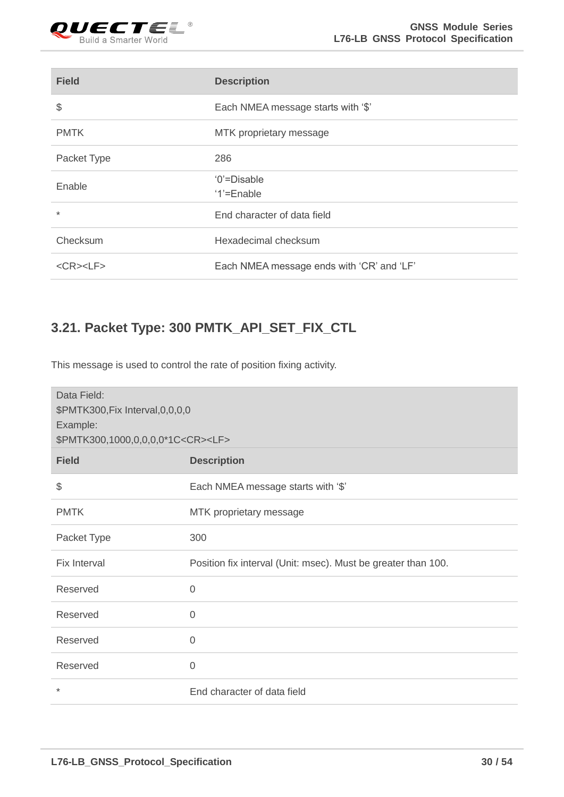

| <b>Field</b>    | <b>Description</b>                        |
|-----------------|-------------------------------------------|
| \$              | Each NMEA message starts with '\$'        |
| <b>PMTK</b>     | MTK proprietary message                   |
| Packet Type     | 286                                       |
| Enable          | '0'=Disable<br>'1'=Enable                 |
| $\ast$          | End character of data field               |
| Checksum        | Hexadecimal checksum                      |
| $<$ CR> $<$ LF> | Each NMEA message ends with 'CR' and 'LF' |

## <span id="page-30-0"></span>**3.21. Packet Type: 300 PMTK\_API\_SET\_FIX\_CTL**

This message is used to control the rate of position fixing activity.

| Data Field:<br>\$PMTK300, Fix Interval, 0, 0, 0, 0<br>Example:<br>\$PMTK300,1000,0,0,0,0*1C <cr><lf></lf></cr> |                                                               |  |
|----------------------------------------------------------------------------------------------------------------|---------------------------------------------------------------|--|
| <b>Field</b>                                                                                                   | <b>Description</b>                                            |  |
| \$                                                                                                             | Each NMEA message starts with '\$'                            |  |
| <b>PMTK</b>                                                                                                    | MTK proprietary message                                       |  |
| Packet Type                                                                                                    | 300                                                           |  |
| Fix Interval                                                                                                   | Position fix interval (Unit: msec). Must be greater than 100. |  |
| Reserved                                                                                                       | $\overline{0}$                                                |  |
| Reserved                                                                                                       | $\overline{0}$                                                |  |
| Reserved                                                                                                       | $\overline{0}$                                                |  |
| Reserved                                                                                                       | $\overline{0}$                                                |  |
| $^\star$                                                                                                       | End character of data field                                   |  |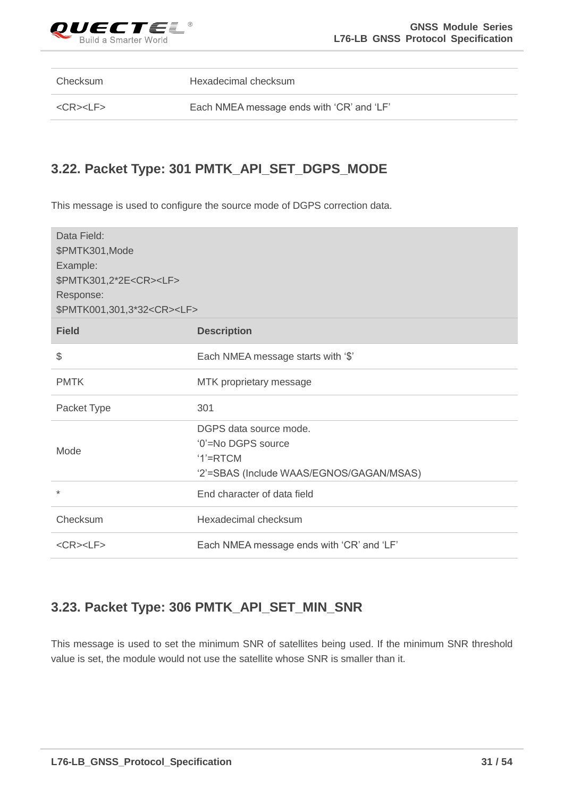

Checksum Hexadecimal checksum

<CR><LF> Each NMEA message ends with 'CR' and 'LF'

### <span id="page-31-0"></span>**3.22. Packet Type: 301 PMTK\_API\_SET\_DGPS\_MODE**

This message is used to configure the source mode of DGPS correction data.

| Data Field:<br>\$PMTK301, Mode<br>Example:<br>\$PMTK301,2*2E <cr><lf><br/>Response:<br/>\$PMTK001,301,3*32<cr><lf></lf></cr></lf></cr> |                                                                                                         |  |
|----------------------------------------------------------------------------------------------------------------------------------------|---------------------------------------------------------------------------------------------------------|--|
| <b>Field</b>                                                                                                                           | <b>Description</b>                                                                                      |  |
| \$                                                                                                                                     | Each NMEA message starts with '\$'                                                                      |  |
| <b>PMTK</b>                                                                                                                            | MTK proprietary message                                                                                 |  |
| Packet Type                                                                                                                            | 301                                                                                                     |  |
| Mode                                                                                                                                   | DGPS data source mode.<br>'0'=No DGPS source<br>$'1'$ =RTCM<br>'2'=SBAS (Include WAAS/EGNOS/GAGAN/MSAS) |  |
| $\star$                                                                                                                                | End character of data field                                                                             |  |
| Checksum                                                                                                                               | Hexadecimal checksum                                                                                    |  |
| $<$ CR> $<$ LF>                                                                                                                        | Each NMEA message ends with 'CR' and 'LF'                                                               |  |

#### <span id="page-31-1"></span>**3.23. Packet Type: 306 PMTK\_API\_SET\_MIN\_SNR**

This message is used to set the minimum SNR of satellites being used. If the minimum SNR threshold value is set, the module would not use the satellite whose SNR is smaller than it.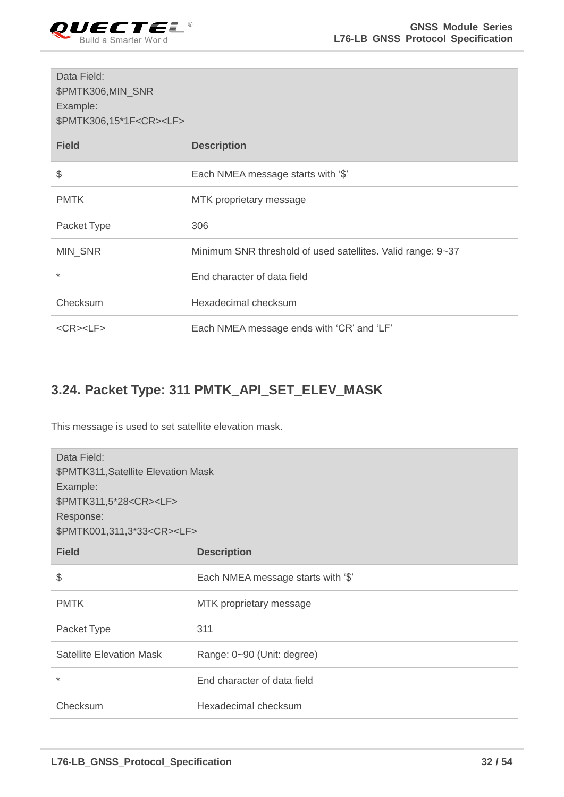

| Data Field:<br>\$PMTK306,MIN_SNR<br>Example:<br>\$PMTK306,15*1F <cr><lf></lf></cr> |                                                             |
|------------------------------------------------------------------------------------|-------------------------------------------------------------|
| <b>Field</b>                                                                       | <b>Description</b>                                          |
| \$                                                                                 | Each NMEA message starts with '\$'                          |
| <b>PMTK</b>                                                                        | MTK proprietary message                                     |
| Packet Type                                                                        | 306                                                         |
| MIN_SNR                                                                            | Minimum SNR threshold of used satellites. Valid range: 9~37 |
| $\ast$                                                                             | End character of data field                                 |
| Checksum                                                                           | Hexadecimal checksum                                        |
| $<$ CR> $<$ LF>                                                                    | Each NMEA message ends with 'CR' and 'LF'                   |

## <span id="page-32-0"></span>**3.24. Packet Type: 311 PMTK\_API\_SET\_ELEV\_MASK**

This message is used to set satellite elevation mask.

| Data Field:<br>\$PMTK311, Satellite Elevation Mask<br>Example:<br>\$PMTK311,5*28 <cr><lf><br/>Response:<br/>\$PMTK001,311,3*33<cr><lf></lf></cr></lf></cr> |                                    |  |
|------------------------------------------------------------------------------------------------------------------------------------------------------------|------------------------------------|--|
| <b>Field</b>                                                                                                                                               | <b>Description</b>                 |  |
| \$                                                                                                                                                         | Each NMEA message starts with '\$' |  |
| <b>PMTK</b>                                                                                                                                                | MTK proprietary message            |  |
| Packet Type                                                                                                                                                | 311                                |  |
| <b>Satellite Elevation Mask</b>                                                                                                                            | Range: 0~90 (Unit: degree)         |  |
| $\ast$                                                                                                                                                     | End character of data field        |  |
| Checksum                                                                                                                                                   | Hexadecimal checksum               |  |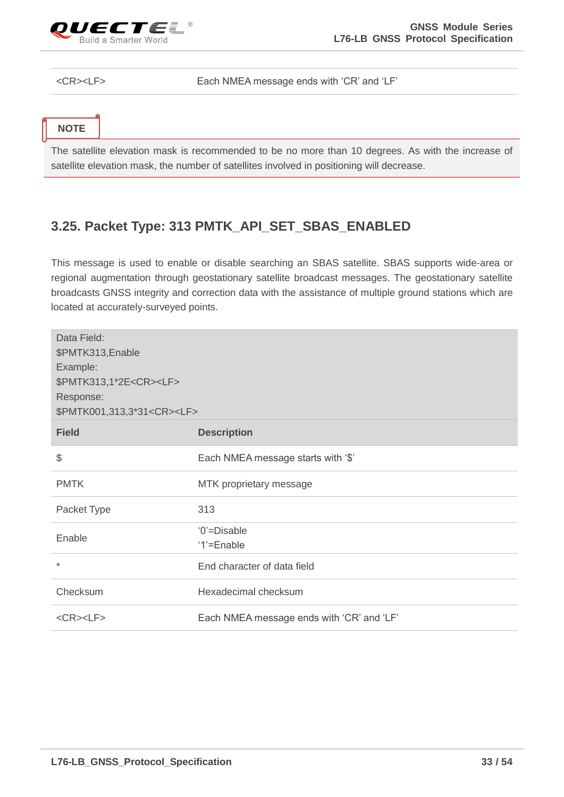

Each NMEA message ends with 'CR' and 'LF'

| ٠<br>w |  |
|--------|--|

The satellite elevation mask is recommended to be no more than 10 degrees. As with the increase of satellite elevation mask, the number of satellites involved in positioning will decrease.

#### <span id="page-33-0"></span>**3.25. Packet Type: 313 PMTK\_API\_SET\_SBAS\_ENABLED**

This message is used to enable or disable searching an SBAS satellite. SBAS supports wide-area or regional augmentation through geostationary satellite broadcast messages. The geostationary satellite broadcasts GNSS integrity and correction data with the assistance of multiple ground stations which are located at accurately-surveyed points.

| Data Field:<br>\$PMTK313, Enable<br>Example:<br>\$PMTK313,1*2E <cr><lf><br/>Response:<br/>\$PMTK001,313,3*31<cr><lf></lf></cr></lf></cr> |                                           |  |
|------------------------------------------------------------------------------------------------------------------------------------------|-------------------------------------------|--|
| <b>Field</b>                                                                                                                             | <b>Description</b>                        |  |
| \$                                                                                                                                       | Each NMEA message starts with '\$'        |  |
| <b>PMTK</b>                                                                                                                              | MTK proprietary message                   |  |
| Packet Type                                                                                                                              | 313                                       |  |
| Enable                                                                                                                                   | '0'=Disable                               |  |
|                                                                                                                                          | '1'=Enable                                |  |
| $\ast$                                                                                                                                   | End character of data field               |  |
| Checksum                                                                                                                                 | Hexadecimal checksum                      |  |
| $<$ CR> $<$ LF>                                                                                                                          | Each NMEA message ends with 'CR' and 'LF' |  |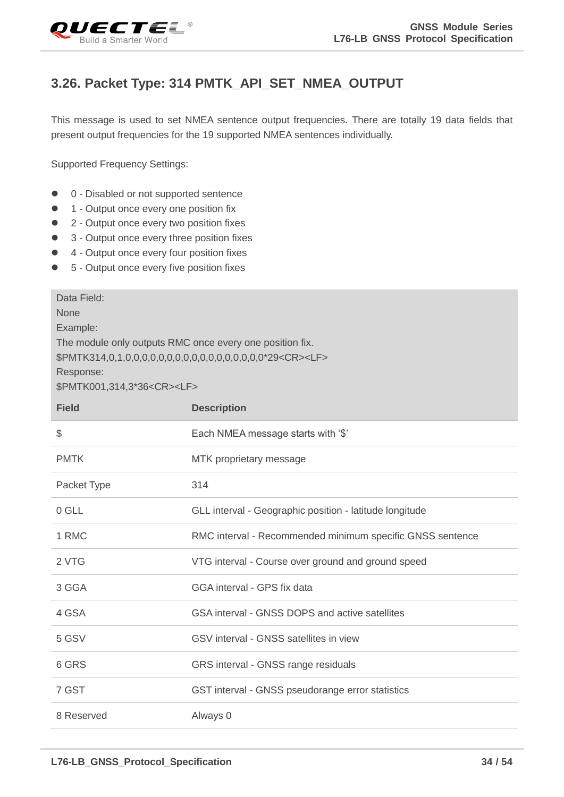<span id="page-34-0"></span>

### **3.26. Packet Type: 314 PMTK\_API\_SET\_NMEA\_OUTPUT**

This message is used to set NMEA sentence output frequencies. There are totally 19 data fields that present output frequencies for the 19 supported NMEA sentences individually.

Supported Frequency Settings:

- 0 Disabled or not supported sentence
- 1 Output once every one position fix
- 2 Output once every two position fixes
- 3 Output once every three position fixes
- 4 Output once every four position fixes
- 5 Output once every five position fixes

| Data Field:<br><b>None</b><br>Example:<br>The module only outputs RMC once every one position fix.<br>Response:<br>\$PMTK001,314,3*36 <cr><lf></lf></cr> |                                                           |  |
|----------------------------------------------------------------------------------------------------------------------------------------------------------|-----------------------------------------------------------|--|
| <b>Field</b>                                                                                                                                             | <b>Description</b>                                        |  |
| \$                                                                                                                                                       | Each NMEA message starts with '\$'                        |  |
| <b>PMTK</b>                                                                                                                                              | MTK proprietary message                                   |  |
| Packet Type                                                                                                                                              | 314                                                       |  |
| 0 GLL                                                                                                                                                    | GLL interval - Geographic position - latitude longitude   |  |
| 1 RMC                                                                                                                                                    | RMC interval - Recommended minimum specific GNSS sentence |  |
| 2 VTG                                                                                                                                                    | VTG interval - Course over ground and ground speed        |  |
| 3 GGA                                                                                                                                                    | GGA interval - GPS fix data                               |  |
| 4 GSA                                                                                                                                                    | GSA interval - GNSS DOPS and active satellites            |  |
| 5 GSV                                                                                                                                                    | GSV interval - GNSS satellites in view                    |  |
| 6 GRS                                                                                                                                                    | GRS interval - GNSS range residuals                       |  |
| 7 GST                                                                                                                                                    | GST interval - GNSS pseudorange error statistics          |  |
| 8 Reserved                                                                                                                                               | Always 0                                                  |  |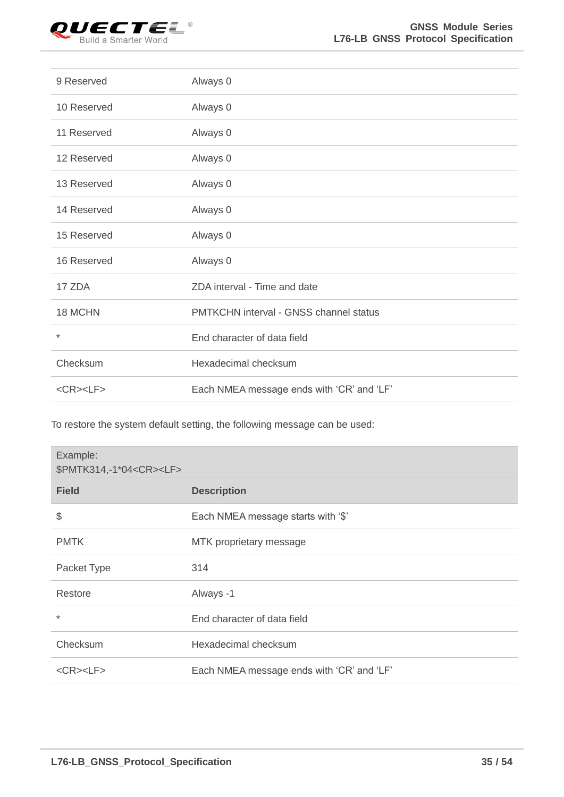

| 9 Reserved      | Always 0                                  |
|-----------------|-------------------------------------------|
| 10 Reserved     | Always 0                                  |
| 11 Reserved     | Always 0                                  |
| 12 Reserved     | Always 0                                  |
| 13 Reserved     | Always 0                                  |
| 14 Reserved     | Always 0                                  |
| 15 Reserved     | Always 0                                  |
| 16 Reserved     | Always 0                                  |
| 17 ZDA          | ZDA interval - Time and date              |
| 18 MCHN         | PMTKCHN interval - GNSS channel status    |
| $^\star$        | End character of data field               |
| Checksum        | Hexadecimal checksum                      |
| $<$ CR> $<$ LF> | Each NMEA message ends with 'CR' and 'LF' |

To restore the system default setting, the following message can be used:

| Example:<br>\$PMTK314,-1*04 <cr><lf></lf></cr> |                                           |
|------------------------------------------------|-------------------------------------------|
| <b>Field</b>                                   | <b>Description</b>                        |
| \$                                             | Each NMEA message starts with '\$'        |
| <b>PMTK</b>                                    | MTK proprietary message                   |
| Packet Type                                    | 314                                       |
| Restore                                        | Always -1                                 |
| $\ast$                                         | End character of data field               |
| Checksum                                       | Hexadecimal checksum                      |
| $<$ CR> $<$ LF>                                | Each NMEA message ends with 'CR' and 'LF' |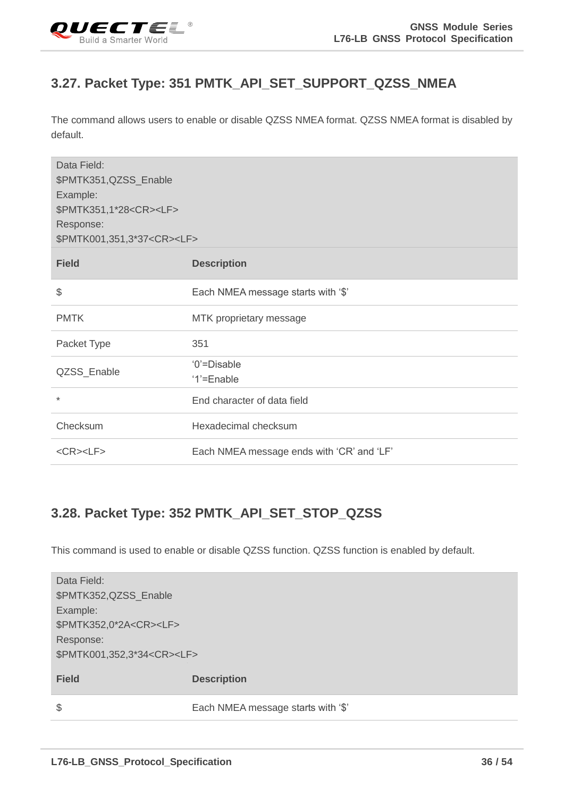<span id="page-36-0"></span>

## **3.27. Packet Type: 351 PMTK\_API\_SET\_SUPPORT\_QZSS\_NMEA**

The command allows users to enable or disable QZSS NMEA format. QZSS NMEA format is disabled by default.

| Data Field:<br>\$PMTK351,QZSS_Enable<br>Example:<br>\$PMTK351,1*28 <cr><lf><br/>Response:<br/>\$PMTK001,351,3*37<cr><lf></lf></cr></lf></cr> |                                           |
|----------------------------------------------------------------------------------------------------------------------------------------------|-------------------------------------------|
| <b>Field</b>                                                                                                                                 | <b>Description</b>                        |
| \$                                                                                                                                           | Each NMEA message starts with '\$'        |
| <b>PMTK</b>                                                                                                                                  | MTK proprietary message                   |
| Packet Type                                                                                                                                  | 351                                       |
| QZSS_Enable                                                                                                                                  | '0'=Disable<br>'1'=Enable                 |
| $\ast$                                                                                                                                       | End character of data field               |
| Checksum                                                                                                                                     | Hexadecimal checksum                      |
| $<$ CR> $<$ LF>                                                                                                                              | Each NMEA message ends with 'CR' and 'LF' |

#### <span id="page-36-1"></span>**3.28. Packet Type: 352 PMTK\_API\_SET\_STOP\_QZSS**

This command is used to enable or disable QZSS function. QZSS function is enabled by default.

| Data Field:<br>\$PMTK352,QZSS_Enable  |                                    |
|---------------------------------------|------------------------------------|
| Example:                              |                                    |
| \$PMTK352,0*2A <cr><lf></lf></cr>     |                                    |
| Response:                             |                                    |
| \$PMTK001,352,3*34 <cr><lf></lf></cr> |                                    |
| <b>Field</b>                          | <b>Description</b>                 |
| $\frac{1}{2}$                         | Each NMEA message starts with '\$' |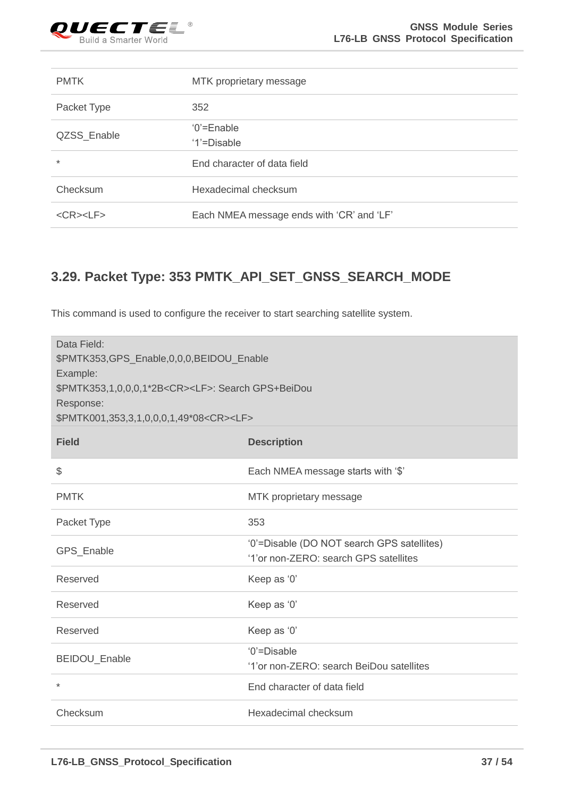

| <b>PMTK</b>           | MTK proprietary message                   |
|-----------------------|-------------------------------------------|
| Packet Type           | 352                                       |
| QZSS_Enable           | $0'$ =Enable<br>'1'=Disable               |
| $\ast$                | End character of data field               |
| Checksum              | Hexadecimal checksum                      |
| $<$ CR $>$ $<$ LF $>$ | Each NMEA message ends with 'CR' and 'LF' |

## <span id="page-37-0"></span>**3.29. Packet Type: 353 PMTK\_API\_SET\_GNSS\_SEARCH\_MODE**

This command is used to configure the receiver to start searching satellite system.

| Data Field:<br>\$PMTK353,GPS_Enable,0,0,0,BEIDOU_Enable<br>Example:<br>\$PMTK353,1,0,0,0,1*2B <cr><lf>: Search GPS+BeiDou<br/>Response:<br/>\$PMTK001,353,3,1,0,0,0,1,49*08<cr><lf></lf></cr></lf></cr> |                                                                                     |  |
|---------------------------------------------------------------------------------------------------------------------------------------------------------------------------------------------------------|-------------------------------------------------------------------------------------|--|
| <b>Field</b>                                                                                                                                                                                            | <b>Description</b>                                                                  |  |
| \$                                                                                                                                                                                                      | Each NMEA message starts with '\$'                                                  |  |
| <b>PMTK</b>                                                                                                                                                                                             | MTK proprietary message                                                             |  |
| Packet Type                                                                                                                                                                                             | 353                                                                                 |  |
| GPS_Enable                                                                                                                                                                                              | '0'=Disable (DO NOT search GPS satellites)<br>'1'or non-ZERO: search GPS satellites |  |
| Reserved                                                                                                                                                                                                | Keep as '0'                                                                         |  |
| Reserved                                                                                                                                                                                                | Keep as '0'                                                                         |  |
| Reserved                                                                                                                                                                                                | Keep as '0'                                                                         |  |
| BEIDOU_Enable                                                                                                                                                                                           | '0'=Disable<br>'1'or non-ZERO: search BeiDou satellites                             |  |
| $\star$                                                                                                                                                                                                 | End character of data field                                                         |  |
| Checksum                                                                                                                                                                                                | Hexadecimal checksum                                                                |  |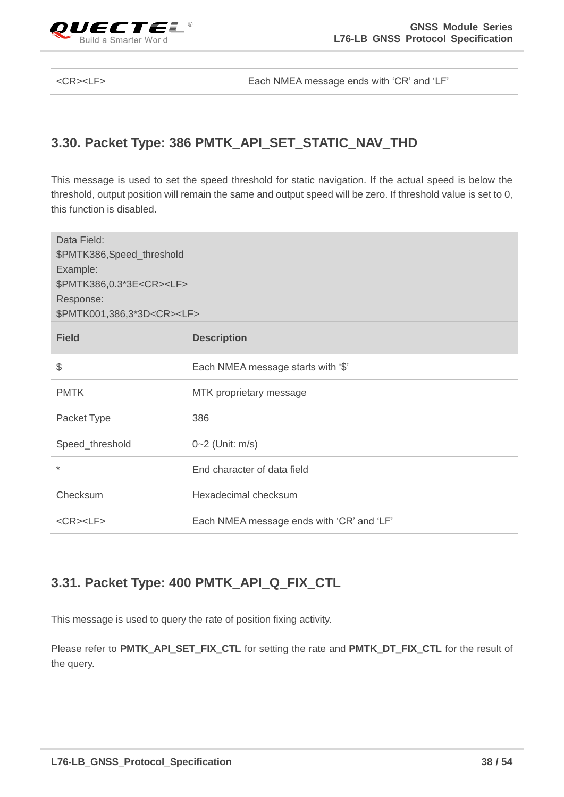

<CR><LF> Each NMEA message ends with 'CR' and 'LF'

#### <span id="page-38-0"></span>**3.30. Packet Type: 386 PMTK\_API\_SET\_STATIC\_NAV\_THD**

This message is used to set the speed threshold for static navigation. If the actual speed is below the threshold, output position will remain the same and output speed will be zero. If threshold value is set to 0, this function is disabled.

| Data Field:<br>\$PMTK386,Speed_threshold<br>Example:<br>\$PMTK386,0.3*3E <cr><lf><br/>Response:<br/>\$PMTK001,386,3*3D<cr><lf></lf></cr></lf></cr> |                                           |  |
|----------------------------------------------------------------------------------------------------------------------------------------------------|-------------------------------------------|--|
| <b>Field</b>                                                                                                                                       | <b>Description</b>                        |  |
| \$                                                                                                                                                 | Each NMEA message starts with '\$'        |  |
| <b>PMTK</b>                                                                                                                                        | MTK proprietary message                   |  |
| Packet Type                                                                                                                                        | 386                                       |  |
| Speed_threshold                                                                                                                                    | 0~2 (Unit: m/s)                           |  |
| $\ast$                                                                                                                                             | End character of data field               |  |
| Checksum                                                                                                                                           | Hexadecimal checksum                      |  |
| $<$ CR> $<$ LF>                                                                                                                                    | Each NMEA message ends with 'CR' and 'LF' |  |

## <span id="page-38-1"></span>**3.31. Packet Type: 400 PMTK\_API\_Q\_FIX\_CTL**

This message is used to query the rate of position fixing activity.

Please refer to **PMTK\_API\_SET\_FIX\_CTL** for setting the rate and **PMTK\_DT\_FIX\_CTL** for the result of the query.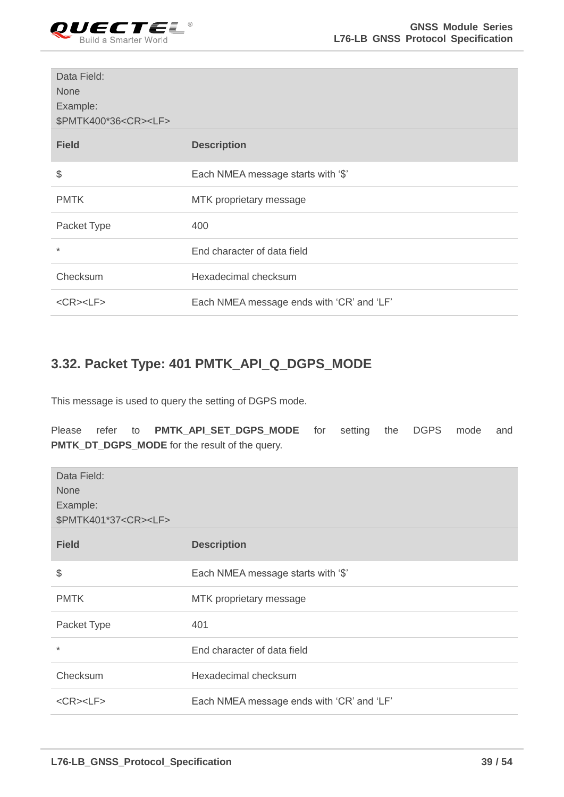

| Data Field:<br><b>None</b><br>Example:<br>\$PMTK400*36 <cr><lf></lf></cr> |                                           |
|---------------------------------------------------------------------------|-------------------------------------------|
| <b>Field</b>                                                              | <b>Description</b>                        |
| \$                                                                        | Each NMEA message starts with '\$'        |
| <b>PMTK</b>                                                               | MTK proprietary message                   |
| Packet Type                                                               | 400                                       |
| $\star$                                                                   | End character of data field               |
| Checksum                                                                  | Hexadecimal checksum                      |
| $<$ CR> $<$ LF>                                                           | Each NMEA message ends with 'CR' and 'LF' |

#### <span id="page-39-0"></span>**3.32. Packet Type: 401 PMTK\_API\_Q\_DGPS\_MODE**

This message is used to query the setting of DGPS mode.

Please refer to **PMTK\_API\_SET\_DGPS\_MODE** for setting the DGPS mode and **PMTK\_DT\_DGPS\_MODE** for the result of the query.

| Data Field:<br><b>None</b><br>Example:<br>\$PMTK401*37 <cr><lf></lf></cr> |                                           |
|---------------------------------------------------------------------------|-------------------------------------------|
| <b>Field</b>                                                              | <b>Description</b>                        |
| \$                                                                        | Each NMEA message starts with '\$'        |
| <b>PMTK</b>                                                               | MTK proprietary message                   |
| Packet Type                                                               | 401                                       |
| $\ast$                                                                    | End character of data field               |
| Checksum                                                                  | Hexadecimal checksum                      |
| $<$ CR> $<$ LF>                                                           | Each NMEA message ends with 'CR' and 'LF' |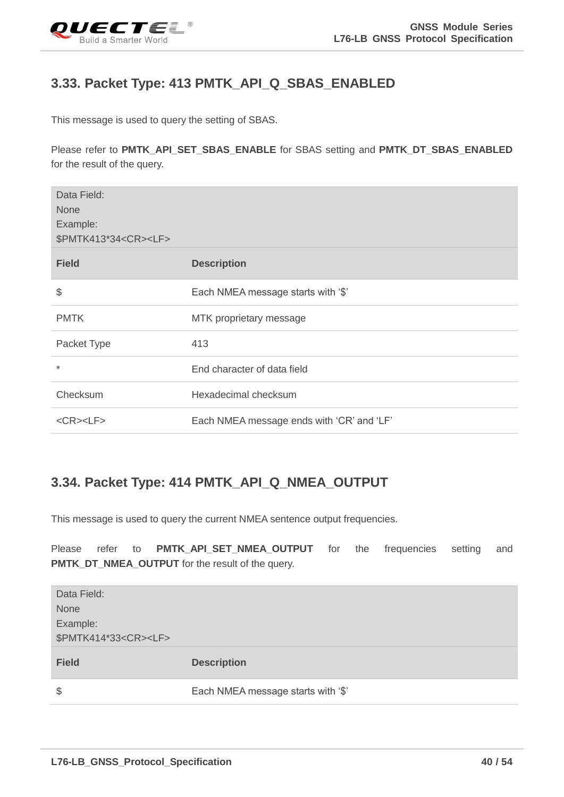<span id="page-40-0"></span>

#### **3.33. Packet Type: 413 PMTK\_API\_Q\_SBAS\_ENABLED**

This message is used to query the setting of SBAS.

Please refer to **PMTK\_API\_SET\_SBAS\_ENABLE** for SBAS setting and **PMTK\_DT\_SBAS\_ENABLED** for the result of the query.

| Data Field:<br><b>None</b><br>Example:<br>\$PMTK413*34 <cr><lf></lf></cr> |                                           |
|---------------------------------------------------------------------------|-------------------------------------------|
| <b>Field</b>                                                              | <b>Description</b>                        |
| \$                                                                        | Each NMEA message starts with '\$'        |
| <b>PMTK</b>                                                               | MTK proprietary message                   |
| Packet Type                                                               | 413                                       |
| $\ast$                                                                    | End character of data field               |
| Checksum                                                                  | Hexadecimal checksum                      |
| $<$ CR> $<$ LF>                                                           | Each NMEA message ends with 'CR' and 'LF' |

#### <span id="page-40-1"></span>**3.34. Packet Type: 414 PMTK\_API\_Q\_NMEA\_OUTPUT**

This message is used to query the current NMEA sentence output frequencies.

Please refer to PMTK\_API\_SET\_NMEA\_OUTPUT for the frequencies setting and **PMTK\_DT\_NMEA\_OUTPUT** for the result of the query.

| Data Field:                     |                                    |
|---------------------------------|------------------------------------|
| <b>None</b>                     |                                    |
| Example:                        |                                    |
| \$PMTK414*33 <cr><lf></lf></cr> |                                    |
| <b>Field</b>                    | <b>Description</b>                 |
|                                 |                                    |
| $\frac{1}{2}$                   | Each NMEA message starts with '\$' |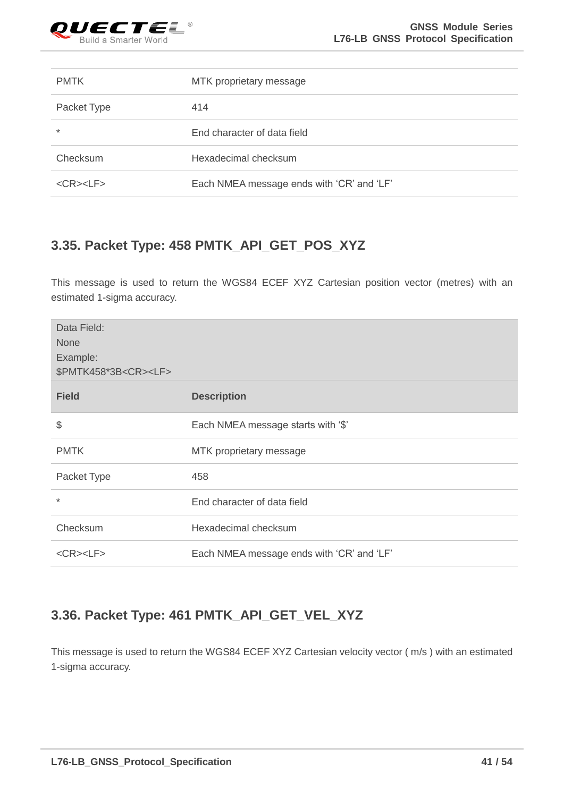

| <b>PMTK</b>           | MTK proprietary message                   |
|-----------------------|-------------------------------------------|
| Packet Type           | 414                                       |
| $\ast$                | End character of data field               |
| Checksum              | Hexadecimal checksum                      |
| $<$ CR $>$ $<$ LF $>$ | Each NMEA message ends with 'CR' and 'LF' |

## <span id="page-41-0"></span>**3.35. Packet Type: 458 PMTK\_API\_GET\_POS\_XYZ**

This message is used to return the WGS84 ECEF XYZ Cartesian position vector (metres) with an estimated 1-sigma accuracy.

| Data Field:<br><b>None</b><br>Example:<br>\$PMTK458*3B <cr><lf></lf></cr> |                                           |
|---------------------------------------------------------------------------|-------------------------------------------|
| <b>Field</b>                                                              | <b>Description</b>                        |
| \$                                                                        | Each NMEA message starts with '\$'        |
| <b>PMTK</b>                                                               | MTK proprietary message                   |
| Packet Type                                                               | 458                                       |
| $\star$                                                                   | End character of data field               |
| Checksum                                                                  | Hexadecimal checksum                      |
| $<$ CR> $<$ LF>                                                           | Each NMEA message ends with 'CR' and 'LF' |

## <span id="page-41-1"></span>**3.36. Packet Type: 461 PMTK\_API\_GET\_VEL\_XYZ**

This message is used to return the WGS84 ECEF XYZ Cartesian velocity vector ( m/s ) with an estimated 1-sigma accuracy.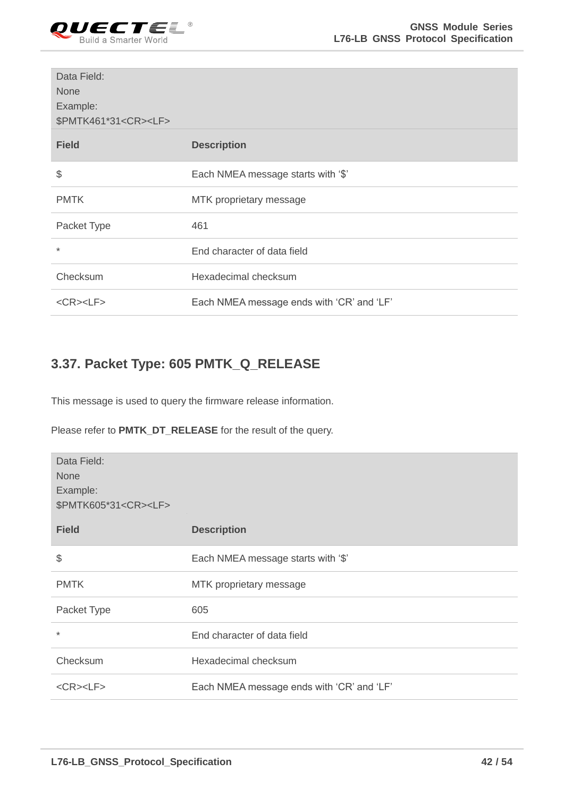

| Data Field:<br><b>None</b><br>Example:<br>\$PMTK461*31 <cr><lf></lf></cr> |                                           |
|---------------------------------------------------------------------------|-------------------------------------------|
| <b>Field</b>                                                              | <b>Description</b>                        |
| \$                                                                        | Each NMEA message starts with '\$'        |
| <b>PMTK</b>                                                               | MTK proprietary message                   |
| Packet Type                                                               | 461                                       |
| $\star$                                                                   | End character of data field               |
| Checksum                                                                  | Hexadecimal checksum                      |
| $<$ CR> $<$ LF>                                                           | Each NMEA message ends with 'CR' and 'LF' |

#### <span id="page-42-0"></span>**3.37. Packet Type: 605 PMTK\_Q\_RELEASE**

This message is used to query the firmware release information.

Please refer to **PMTK\_DT\_RELEASE** for the result of the query.

| Data Field:<br><b>None</b><br>Example:<br>\$PMTK605*31 <cr><lf></lf></cr> |                                           |
|---------------------------------------------------------------------------|-------------------------------------------|
| <b>Field</b>                                                              | <b>Description</b>                        |
| \$                                                                        | Each NMEA message starts with '\$'        |
| <b>PMTK</b>                                                               | MTK proprietary message                   |
| Packet Type                                                               | 605                                       |
| $\ast$                                                                    | End character of data field               |
| Checksum                                                                  | Hexadecimal checksum                      |
| $<$ CR> $<$ LF>                                                           | Each NMEA message ends with 'CR' and 'LF' |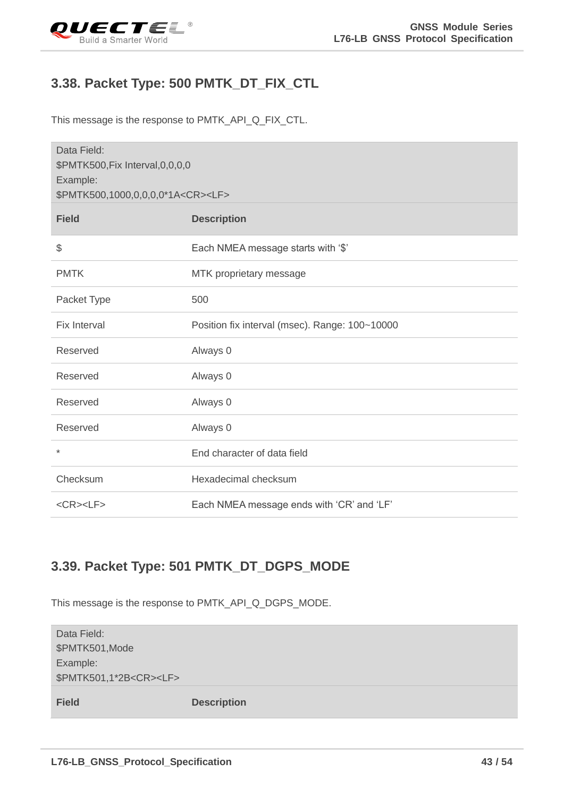<span id="page-43-0"></span>

#### **3.38. Packet Type: 500 PMTK\_DT\_FIX\_CTL**

This message is the response to PMTK\_API\_Q\_FIX\_CTL.

| Data Field:                                    |                                                |
|------------------------------------------------|------------------------------------------------|
| \$PMTK500, Fix Interval, 0, 0, 0, 0            |                                                |
| Example:                                       |                                                |
| \$PMTK500,1000,0,0,0,0,0*1A <cr><lf></lf></cr> |                                                |
| <b>Field</b>                                   | <b>Description</b>                             |
| \$                                             | Each NMEA message starts with '\$'             |
| <b>PMTK</b>                                    | MTK proprietary message                        |
| Packet Type                                    | 500                                            |
| <b>Fix Interval</b>                            | Position fix interval (msec). Range: 100~10000 |
| Reserved                                       | Always 0                                       |
| Reserved                                       | Always 0                                       |
| Reserved                                       | Always 0                                       |
| Reserved                                       | Always 0                                       |
| $\star$                                        | End character of data field                    |
| Checksum                                       | Hexadecimal checksum                           |
| $<$ CR> $<$ LF>                                | Each NMEA message ends with 'CR' and 'LF'      |

#### <span id="page-43-1"></span>**3.39. Packet Type: 501 PMTK\_DT\_DGPS\_MODE**

This message is the response to PMTK\_API\_Q\_DGPS\_MODE.

| Data Field:<br>\$PMTK501, Mode<br>Example:<br>\$PMTK501,1*2B <cr><lf></lf></cr> |                    |
|---------------------------------------------------------------------------------|--------------------|
| <b>Field</b>                                                                    | <b>Description</b> |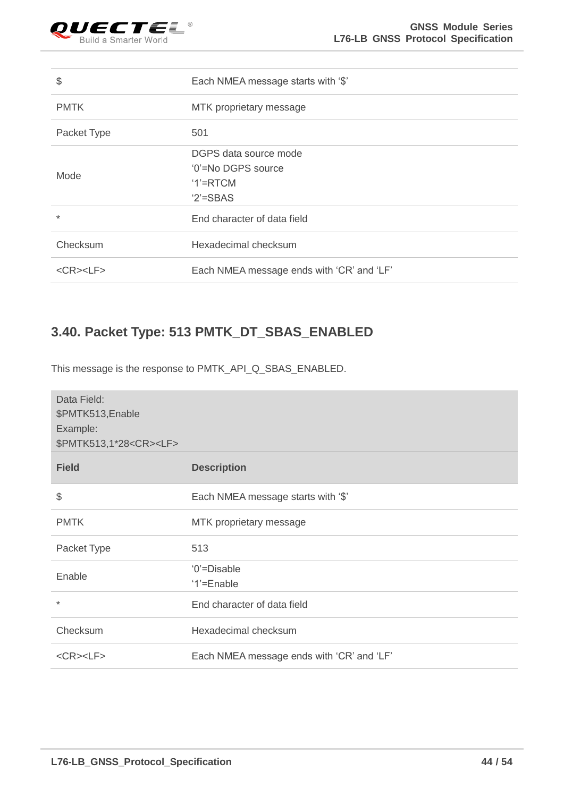

| \$              | Each NMEA message starts with '\$'        |
|-----------------|-------------------------------------------|
| <b>PMTK</b>     | MTK proprietary message                   |
| Packet Type     | 501                                       |
|                 | DGPS data source mode                     |
| Mode            | '0'=No DGPS source                        |
|                 | $1'$ =RTCM                                |
|                 | $2$ '=SBAS                                |
| $\star$         | End character of data field               |
| Checksum        | Hexadecimal checksum                      |
| $<$ CR> $<$ LF> | Each NMEA message ends with 'CR' and 'LF' |

## <span id="page-44-0"></span>**3.40. Packet Type: 513 PMTK\_DT\_SBAS\_ENABLED**

This message is the response to PMTK\_API\_Q\_SBAS\_ENABLED.

| Data Field:<br>\$PMTK513, Enable<br>Example:<br>\$PMTK513,1*28 <cr><lf></lf></cr> |                                           |
|-----------------------------------------------------------------------------------|-------------------------------------------|
| <b>Field</b>                                                                      | <b>Description</b>                        |
| \$                                                                                | Each NMEA message starts with '\$'        |
| <b>PMTK</b>                                                                       | MTK proprietary message                   |
| Packet Type                                                                       | 513                                       |
| Enable                                                                            | '0'=Disable<br>'1'=Enable                 |
| $\ast$                                                                            | End character of data field               |
| Checksum                                                                          | Hexadecimal checksum                      |
| $<$ CR> $<$ LF>                                                                   | Each NMEA message ends with 'CR' and 'LF' |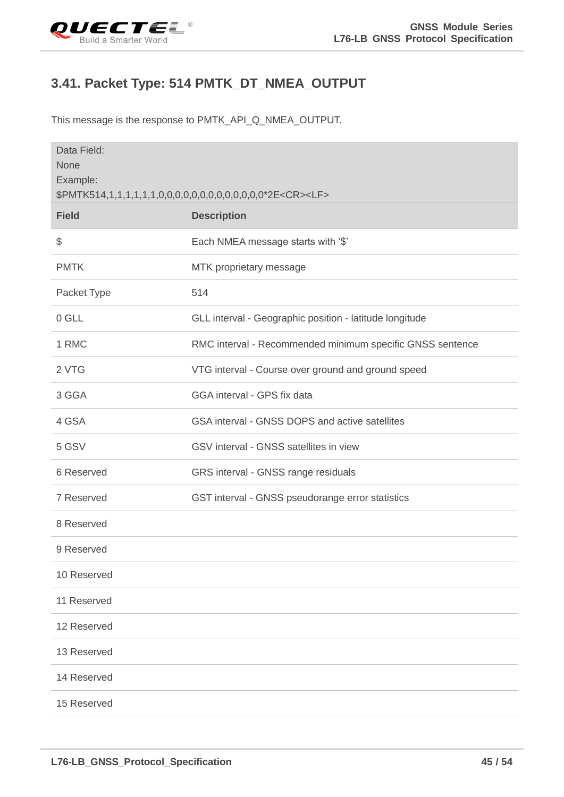<span id="page-45-0"></span>

## **3.41. Packet Type: 514 PMTK\_DT\_NMEA\_OUTPUT**

This message is the response to PMTK\_API\_Q\_NMEA\_OUTPUT.

| Data Field:<br>None<br>Example: |                                                           |  |
|---------------------------------|-----------------------------------------------------------|--|
| <b>Field</b>                    | <b>Description</b>                                        |  |
| $\frac{1}{2}$                   | Each NMEA message starts with '\$'                        |  |
| <b>PMTK</b>                     | MTK proprietary message                                   |  |
| Packet Type                     | 514                                                       |  |
| 0 GLL                           | GLL interval - Geographic position - latitude longitude   |  |
| 1 RMC                           | RMC interval - Recommended minimum specific GNSS sentence |  |
| 2 VTG                           | VTG interval - Course over ground and ground speed        |  |
| 3 GGA                           | GGA interval - GPS fix data                               |  |
| 4 GSA                           | GSA interval - GNSS DOPS and active satellites            |  |
| 5 GSV                           | GSV interval - GNSS satellites in view                    |  |
| 6 Reserved                      | GRS interval - GNSS range residuals                       |  |
| 7 Reserved                      | GST interval - GNSS pseudorange error statistics          |  |
| 8 Reserved                      |                                                           |  |
| 9 Reserved                      |                                                           |  |
| 10 Reserved                     |                                                           |  |
| 11 Reserved                     |                                                           |  |
| 12 Reserved                     |                                                           |  |
| 13 Reserved                     |                                                           |  |
| 14 Reserved                     |                                                           |  |
| 15 Reserved                     |                                                           |  |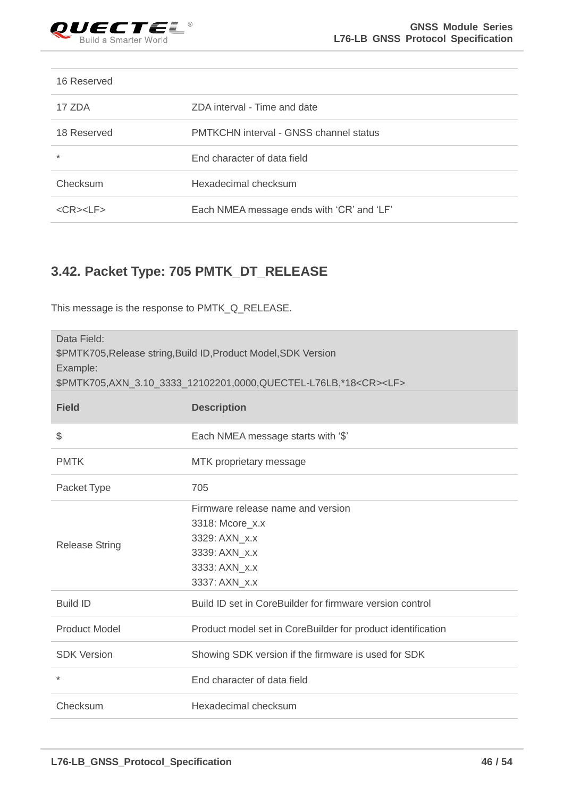

#### 16 Reserved

| 17 ZDA                 | ZDA interval - Time and date                  |
|------------------------|-----------------------------------------------|
| 18 Reserved            | <b>PMTKCHN</b> interval - GNSS channel status |
| $\ast$                 | End character of data field                   |
| Checksum               | Hexadecimal checksum                          |
| $<$ CR $>$ $<$ l F $>$ | Each NMEA message ends with 'CR' and 'LF'     |

## <span id="page-46-0"></span>**3.42. Packet Type: 705 PMTK\_DT\_RELEASE**

This message is the response to PMTK\_Q\_RELEASE.

| Data Field:<br>\$PMTK705, Release string, Build ID, Product Model, SDK Version<br>Example:<br>\$PMTK705,AXN_3.10_3333_12102201,0000,QUECTEL-L76LB,*18 <cr><lf></lf></cr> |                                                                                                         |  |
|--------------------------------------------------------------------------------------------------------------------------------------------------------------------------|---------------------------------------------------------------------------------------------------------|--|
| <b>Field</b>                                                                                                                                                             | <b>Description</b>                                                                                      |  |
| \$                                                                                                                                                                       | Each NMEA message starts with '\$'                                                                      |  |
| <b>PMTK</b>                                                                                                                                                              | MTK proprietary message                                                                                 |  |
| Packet Type                                                                                                                                                              | 705                                                                                                     |  |
| <b>Release String</b>                                                                                                                                                    | Firmware release name and version<br>3318: Mcore_x.x<br>3329: AXN x.x<br>3339: AXN_x.x<br>3333: AXN x.x |  |
|                                                                                                                                                                          | 3337: AXN_x.x                                                                                           |  |
| <b>Build ID</b>                                                                                                                                                          | Build ID set in CoreBuilder for firmware version control                                                |  |
| <b>Product Model</b>                                                                                                                                                     | Product model set in CoreBuilder for product identification                                             |  |
| <b>SDK Version</b>                                                                                                                                                       | Showing SDK version if the firmware is used for SDK                                                     |  |
| $\star$                                                                                                                                                                  | End character of data field                                                                             |  |
| Checksum                                                                                                                                                                 | Hexadecimal checksum                                                                                    |  |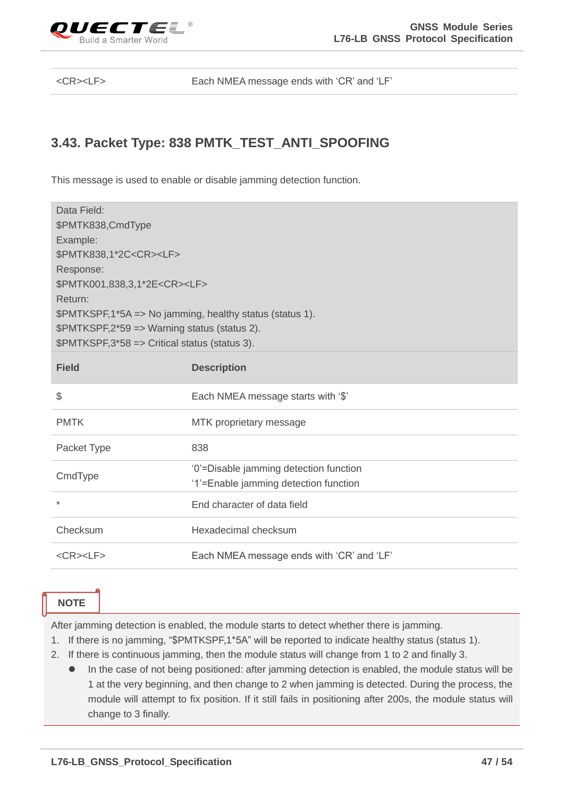

<CR><LF> Each NMEA message ends with 'CR' and 'LF'

#### <span id="page-47-0"></span>**3.43. Packet Type: 838 PMTK\_TEST\_ANTI\_SPOOFING**

This message is used to enable or disable jamming detection function.

| Data Field:<br>\$PMTK838,CmdType<br>Example:<br>\$PMTK838,1*2C <cr><lf><br/>Response:<br/>\$PMTK001,838,3,1*2E<cr><lf><br/>Return:<br/>\$PMTKSPF,1*5A =&gt; No jamming, healthy status (status 1).<br/>\$PMTKSPF,2*59 =&gt; Warning status (status 2).<br/>\$PMTKSPF,3*58 =&gt; Critical status (status 3).</lf></cr></lf></cr> |                                                                                 |  |
|---------------------------------------------------------------------------------------------------------------------------------------------------------------------------------------------------------------------------------------------------------------------------------------------------------------------------------|---------------------------------------------------------------------------------|--|
| <b>Field</b>                                                                                                                                                                                                                                                                                                                    | <b>Description</b>                                                              |  |
| \$                                                                                                                                                                                                                                                                                                                              | Each NMEA message starts with '\$'                                              |  |
| <b>PMTK</b>                                                                                                                                                                                                                                                                                                                     | MTK proprietary message                                                         |  |
| Packet Type                                                                                                                                                                                                                                                                                                                     | 838                                                                             |  |
| CmdType                                                                                                                                                                                                                                                                                                                         | '0'=Disable jamming detection function<br>'1'=Enable jamming detection function |  |
| $^{\star}$                                                                                                                                                                                                                                                                                                                      | End character of data field                                                     |  |
| Checksum                                                                                                                                                                                                                                                                                                                        | Hexadecimal checksum                                                            |  |
| $<$ CR> $<$ LF>                                                                                                                                                                                                                                                                                                                 | Each NMEA message ends with 'CR' and 'LF'                                       |  |

**NOTE**

After jamming detection is enabled, the module starts to detect whether there is jamming.

- 1. If there is no jamming, "\$PMTKSPF,1\*5A" will be reported to indicate healthy status (status 1).
- 2. If there is continuous jamming, then the module status will change from 1 to 2 and finally 3.
	- In the case of not being positioned: after jamming detection is enabled, the module status will be 1 at the very beginning, and then change to 2 when jamming is detected. During the process, the module will attempt to fix position. If it still fails in positioning after 200s, the module status will change to 3 finally.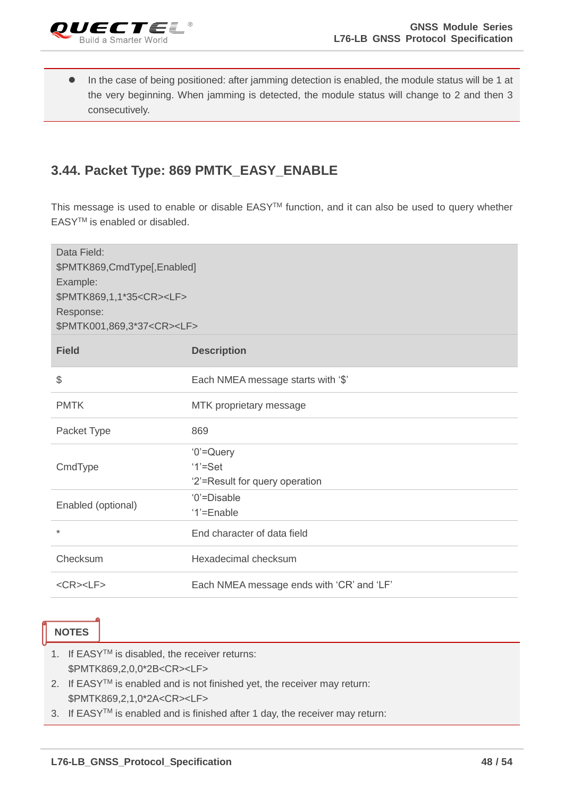

⚫ In the case of being positioned: after jamming detection is enabled, the module status will be 1 at the very beginning. When jamming is detected, the module status will change to 2 and then 3 consecutively.

#### <span id="page-48-0"></span>**3.44. Packet Type: 869 PMTK\_EASY\_ENABLE**

This message is used to enable or disable EASY<sup>™</sup> function, and it can also be used to query whether EASYTM is enabled or disabled.

| Data Field:<br>\$PMTK869,CmdType[,Enabled]<br>Example:<br>\$PMTK869,1,1*35 <cr><lf><br/>Response:<br/>\$PMTK001,869,3*37<cr><lf></lf></cr></lf></cr> |                                                            |
|------------------------------------------------------------------------------------------------------------------------------------------------------|------------------------------------------------------------|
| <b>Field</b>                                                                                                                                         | <b>Description</b>                                         |
| $\$\$                                                                                                                                                | Each NMEA message starts with '\$'                         |
| <b>PMTK</b>                                                                                                                                          | MTK proprietary message                                    |
| Packet Type                                                                                                                                          | 869                                                        |
| CmdType                                                                                                                                              | '0'=Query<br>$'1' = Set$<br>'2'=Result for query operation |
| Enabled (optional)                                                                                                                                   | '0'=Disable<br>'1'=Enable                                  |
| $\ast$                                                                                                                                               | End character of data field                                |
| Checksum                                                                                                                                             | Hexadecimal checksum                                       |
| $<$ CR> $<$ LF>                                                                                                                                      | Each NMEA message ends with 'CR' and 'LF'                  |

#### **NOTES**

- 1. If EASYTM is disabled, the receiver returns: \$PMTK869,2,0,0\*2B<CR><LF>
- 2. If  $EASY^{TM}$  is enabled and is not finished yet, the receiver may return: \$PMTK869,2,1,0\*2A<CR><LF>
- 3. If EASYTM is enabled and is finished after 1 day, the receiver may return: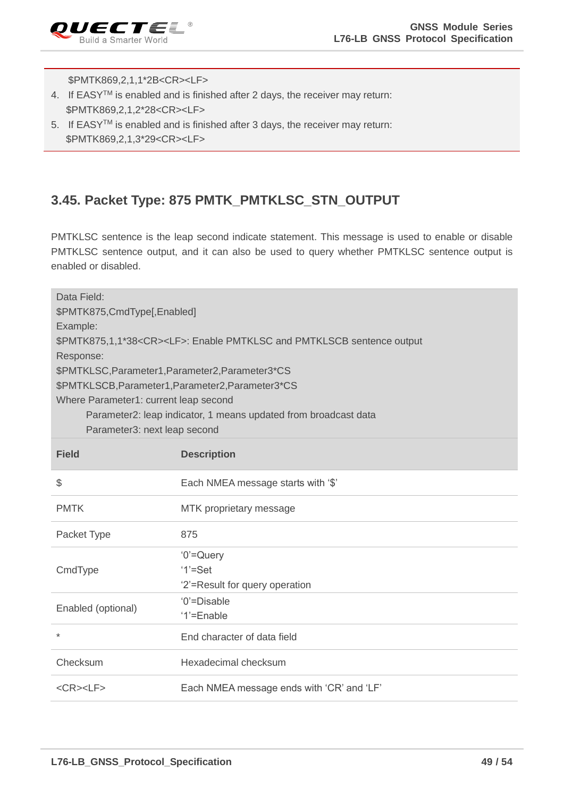

\$PMTK869,2,1,1\*2B<CR><LF>

- 4. If EASYTM is enabled and is finished after 2 days, the receiver may return: \$PMTK869,2,1,2\*28<CR><LF>
- 5. If EASYTM is enabled and is finished after 3 days, the receiver may return: \$PMTK869,2,1,3\*29<CR><LF>

#### <span id="page-49-0"></span>**3.45. Packet Type: 875 PMTK\_PMTKLSC\_STN\_OUTPUT**

PMTKLSC sentence is the leap second indicate statement. This message is used to enable or disable PMTKLSC sentence output, and it can also be used to query whether PMTKLSC sentence output is enabled or disabled.

| Data Field:                                       |                                                                                  |  |
|---------------------------------------------------|----------------------------------------------------------------------------------|--|
| \$PMTK875, CmdType[, Enabled]                     |                                                                                  |  |
| Example:                                          |                                                                                  |  |
|                                                   | \$PMTK875,1,1*38 <cr><lf>: Enable PMTKLSC and PMTKLSCB sentence output</lf></cr> |  |
| Response:                                         |                                                                                  |  |
| \$PMTKLSC, Parameter1, Parameter2, Parameter3*CS  |                                                                                  |  |
| \$PMTKLSCB, Parameter1, Parameter2, Parameter3*CS |                                                                                  |  |
| Where Parameter1: current leap second             |                                                                                  |  |
|                                                   | Parameter2: leap indicator, 1 means updated from broadcast data                  |  |
| Parameter3: next leap second                      |                                                                                  |  |
|                                                   |                                                                                  |  |
| <b>Field</b>                                      | <b>Description</b>                                                               |  |
|                                                   |                                                                                  |  |
| \$                                                | Each NMEA message starts with '\$'                                               |  |
| <b>PMTK</b>                                       | MTK proprietary message                                                          |  |
| Packet Type                                       | 875                                                                              |  |
|                                                   | $'0' =$ Query                                                                    |  |
| CmdType                                           | $'1' = Set$                                                                      |  |
|                                                   | '2'=Result for query operation                                                   |  |
|                                                   | '0'=Disable                                                                      |  |
| Enabled (optional)                                | '1'=Enable                                                                       |  |
| $\star$                                           | End character of data field                                                      |  |
|                                                   |                                                                                  |  |
| Checksum                                          | Hexadecimal checksum                                                             |  |
| $<$ CR> $<$ LF>                                   | Each NMEA message ends with 'CR' and 'LF'                                        |  |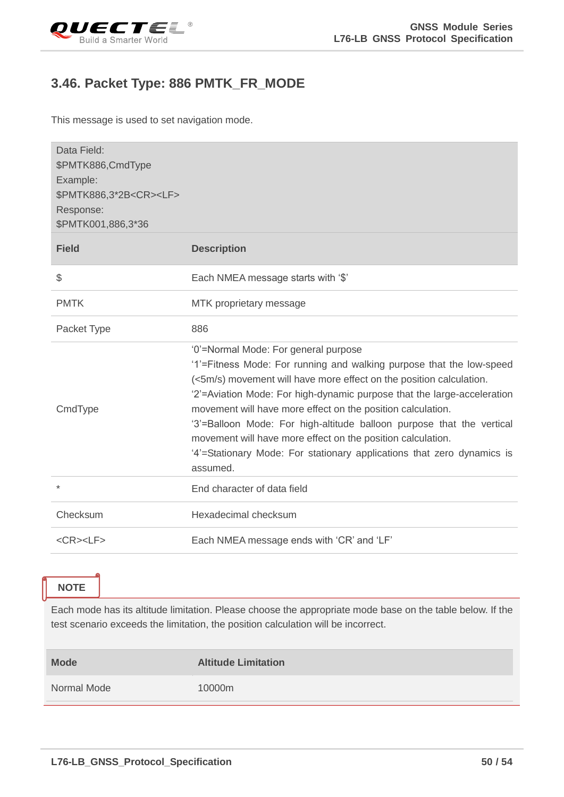<span id="page-50-0"></span>

#### **3.46. Packet Type: 886 PMTK\_FR\_MODE**

This message is used to set navigation mode.

| Data Field:<br>\$PMTK886,CmdType<br>Example:<br>\$PMTK886,3*2B <cr><lf><br/>Response:<br/>\$PMTK001,886,3*36<br/><b>Field</b></lf></cr> | <b>Description</b>                                                                                                                                                                                                                                                                                                                                                                                                                                                                                                                                          |
|-----------------------------------------------------------------------------------------------------------------------------------------|-------------------------------------------------------------------------------------------------------------------------------------------------------------------------------------------------------------------------------------------------------------------------------------------------------------------------------------------------------------------------------------------------------------------------------------------------------------------------------------------------------------------------------------------------------------|
|                                                                                                                                         |                                                                                                                                                                                                                                                                                                                                                                                                                                                                                                                                                             |
| \$                                                                                                                                      | Each NMEA message starts with '\$'                                                                                                                                                                                                                                                                                                                                                                                                                                                                                                                          |
| <b>PMTK</b>                                                                                                                             | MTK proprietary message                                                                                                                                                                                                                                                                                                                                                                                                                                                                                                                                     |
| Packet Type                                                                                                                             | 886                                                                                                                                                                                                                                                                                                                                                                                                                                                                                                                                                         |
| CmdType                                                                                                                                 | '0'=Normal Mode: For general purpose<br>'1'=Fitness Mode: For running and walking purpose that the low-speed<br>(<5m/s) movement will have more effect on the position calculation.<br>'2'=Aviation Mode: For high-dynamic purpose that the large-acceleration<br>movement will have more effect on the position calculation.<br>'3'=Balloon Mode: For high-altitude balloon purpose that the vertical<br>movement will have more effect on the position calculation.<br>'4'=Stationary Mode: For stationary applications that zero dynamics is<br>assumed. |
| $\ast$                                                                                                                                  | End character of data field                                                                                                                                                                                                                                                                                                                                                                                                                                                                                                                                 |
| Checksum                                                                                                                                | Hexadecimal checksum                                                                                                                                                                                                                                                                                                                                                                                                                                                                                                                                        |
| $<$ CR> $<$ LF>                                                                                                                         | Each NMEA message ends with 'CR' and 'LF'                                                                                                                                                                                                                                                                                                                                                                                                                                                                                                                   |

**NOTE**

Each mode has its altitude limitation. Please choose the appropriate mode base on the table below. If the test scenario exceeds the limitation, the position calculation will be incorrect.

| <b>Mode</b> | <b>Altitude Limitation</b> |
|-------------|----------------------------|
| Normal Mode | 10000m                     |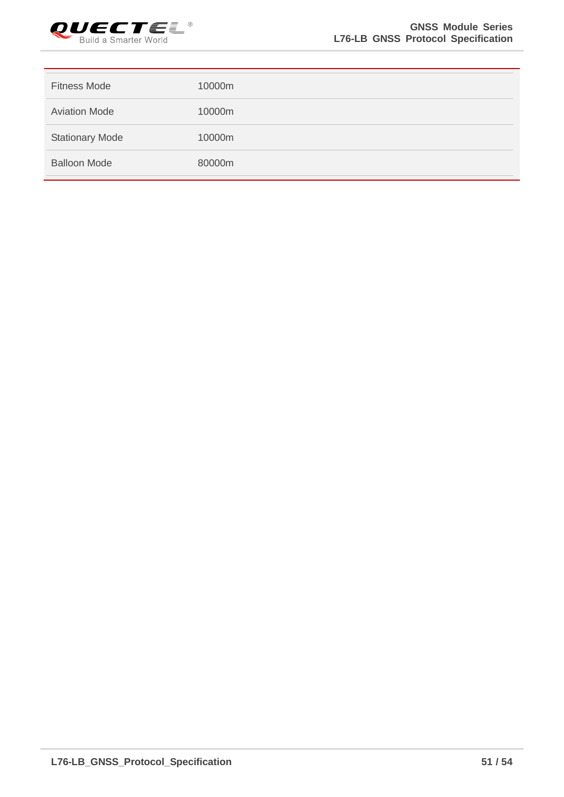

| <b>Fitness Mode</b>    | 10000m |
|------------------------|--------|
| <b>Aviation Mode</b>   | 10000m |
| <b>Stationary Mode</b> | 10000m |
| <b>Balloon Mode</b>    | 80000m |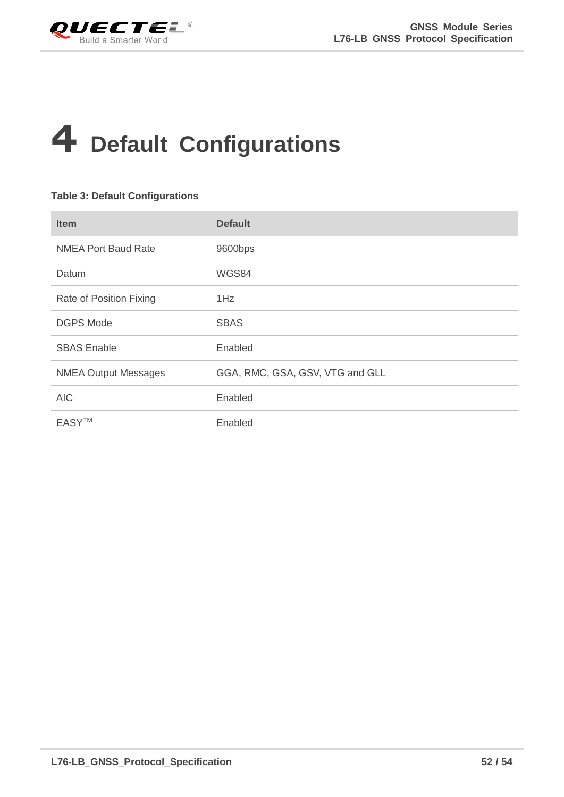<span id="page-52-0"></span>

## **4 Default Configurations**

#### <span id="page-52-1"></span>**Table 3: Default Configurations**

| <b>Item</b>                 | <b>Default</b>                  |
|-----------------------------|---------------------------------|
| <b>NMEA Port Baud Rate</b>  | 9600bps                         |
| Datum                       | WGS84                           |
| Rate of Position Fixing     | 1Hz                             |
| <b>DGPS Mode</b>            | <b>SBAS</b>                     |
| <b>SBAS Enable</b>          | Enabled                         |
| <b>NMEA Output Messages</b> | GGA, RMC, GSA, GSV, VTG and GLL |
| <b>AIC</b>                  | Enabled                         |
| <b>EASYTM</b>               | Enabled                         |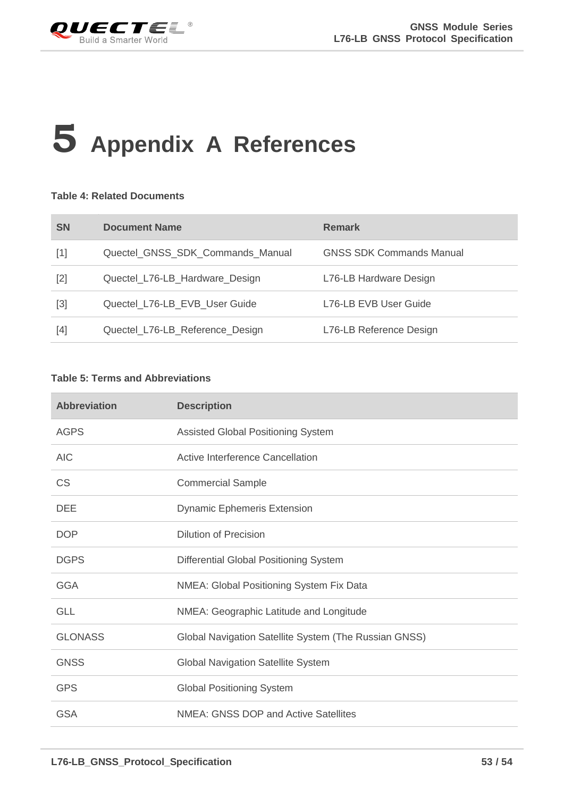<span id="page-53-0"></span>

## **5 Appendix A References**

#### <span id="page-53-1"></span>**Table 4: Related Documents**

| <b>SN</b>                                                                                                                                                  | <b>Document Name</b>             | <b>Remark</b>                   |
|------------------------------------------------------------------------------------------------------------------------------------------------------------|----------------------------------|---------------------------------|
| $[1]$                                                                                                                                                      | Quectel_GNSS_SDK_Commands_Manual | <b>GNSS SDK Commands Manual</b> |
| $[2]$                                                                                                                                                      | Quectel_L76-LB_Hardware_Design   | L76-LB Hardware Design          |
| $[3] % \includegraphics[width=0.9\columnwidth]{figures/fig_1a} \caption{Schematic diagram of the top of the top of the top of the right.} \label{fig:1} %$ | Quectel_L76-LB_EVB_User Guide    | L76-LB EVB User Guide           |
| $[4]$                                                                                                                                                      | Quectel_L76-LB_Reference_Design  | L76-LB Reference Design         |

#### <span id="page-53-2"></span>**Table 5: Terms and Abbreviations**

| <b>Abbreviation</b> | <b>Description</b>                                    |
|---------------------|-------------------------------------------------------|
| <b>AGPS</b>         | Assisted Global Positioning System                    |
| <b>AIC</b>          | Active Interference Cancellation                      |
| <b>CS</b>           | <b>Commercial Sample</b>                              |
| <b>DEE</b>          | <b>Dynamic Ephemeris Extension</b>                    |
| <b>DOP</b>          | <b>Dilution of Precision</b>                          |
| <b>DGPS</b>         | Differential Global Positioning System                |
| <b>GGA</b>          | NMEA: Global Positioning System Fix Data              |
| <b>GLL</b>          | NMEA: Geographic Latitude and Longitude               |
| <b>GLONASS</b>      | Global Navigation Satellite System (The Russian GNSS) |
| <b>GNSS</b>         | <b>Global Navigation Satellite System</b>             |
| <b>GPS</b>          | <b>Global Positioning System</b>                      |
| <b>GSA</b>          | NMEA: GNSS DOP and Active Satellites                  |